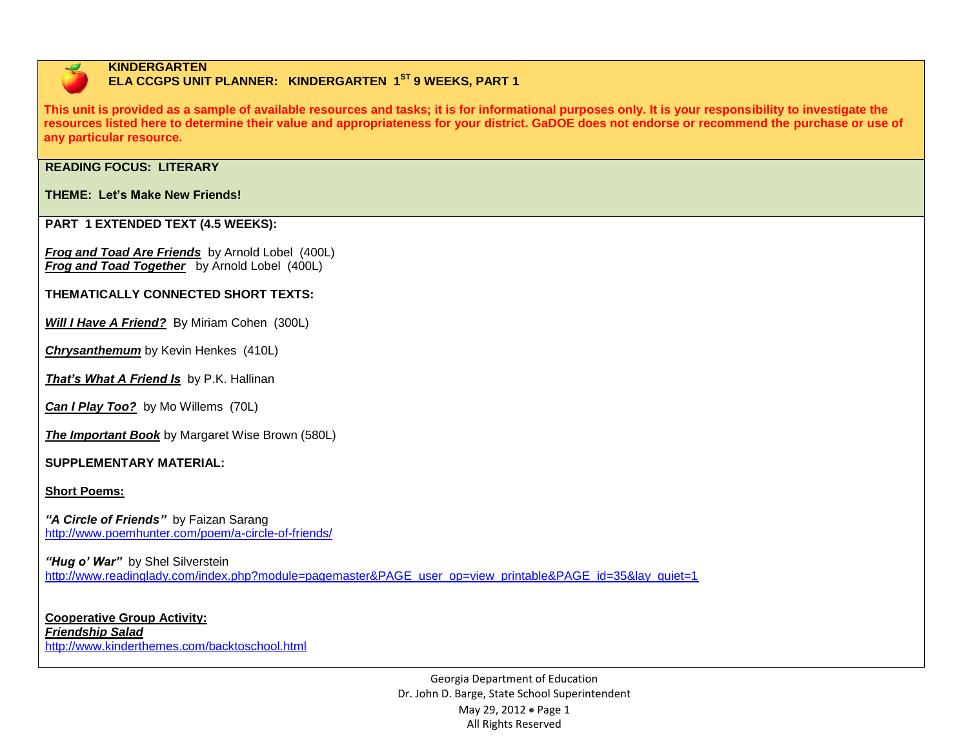

#### **KINDERGARTEN ELA CCGPS UNIT PLANNER: KINDERGARTEN 1<sup>ST</sup> 9 WEEKS, PART 1**

**This unit is provided as a sample of available resources and tasks; it is for informational purposes only. It is your responsibility to investigate the resources listed here to determine their value and appropriateness for your district. GaDOE does not endorse or recommend the purchase or use of any particular resource.**

### **READING FOCUS: LITERARY**

#### **THEME: Let's Make New Friends!**

#### **PART 1 EXTENDED TEXT (4.5 WEEKS):**

*Frog and Toad Are Friends* by Arnold Lobel (400L) *Frog and Toad Together* by Arnold Lobel (400L)

#### **THEMATICALLY CONNECTED SHORT TEXTS:**

**Will I Have A Friend?** By Miriam Cohen (300L)

*Chrysanthemum* by Kevin Henkes (410L)

*That's What A Friend Is* by P.K. Hallinan

*Can I Play Too?* by Mo Willems (70L)

*The Important Book* by Margaret Wise Brown (580L)

#### **SUPPLEMENTARY MATERIAL:**

**Short Poems:**

*"A Circle of Friends"* by Faizan Sarang <http://www.poemhunter.com/poem/a-circle-of-friends/>

"Hug o' War" by Shel Silverstein [http://www.readinglady.com/index.php?module=pagemaster&PAGE\\_user\\_op=view\\_printable&PAGE\\_id=35&lay\\_quiet=1](http://www.readinglady.com/index.php?module=pagemaster&PAGE_user_op=view_printable&PAGE_id=35&lay_quiet=1)

**Cooperative Group Activity:** *Friendship Salad* <http://www.kinderthemes.com/backtoschool.html>

> Georgia Department of Education Dr. John D. Barge, State School Superintendent May 29, 2012 • Page 1 All Rights Reserved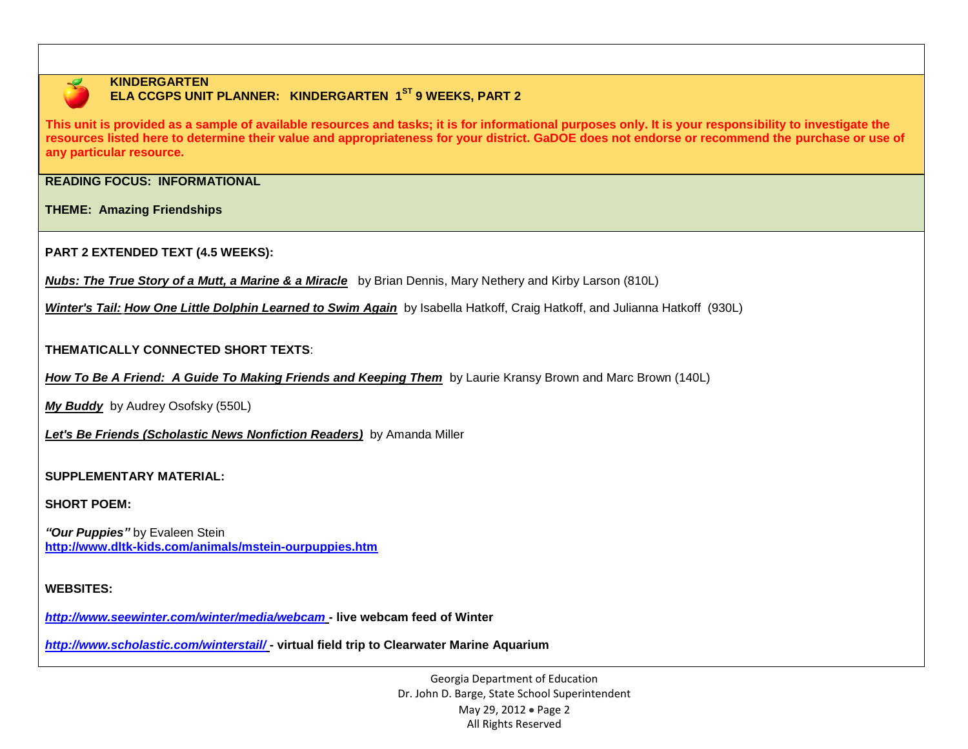

## **KINDERGARTEN**

## **ELA CCGPS UNIT PLANNER: KINDERGARTEN 1ST 9 WEEKS, PART 2**

**This unit is provided as a sample of available resources and tasks; it is for informational purposes only. It is your responsibility to investigate the resources listed here to determine their value and appropriateness for your district. GaDOE does not endorse or recommend the purchase or use of any particular resource.**

**READING FOCUS: INFORMATIONAL** 

**THEME: Amazing Friendships**

**PART 2 EXTENDED TEXT (4.5 WEEKS):**

*[Nubs: The True Story of a Mutt, a Marine & a Miracle](http://www.amazon.com/Nubs-True-Story-Marine-Miracle/dp/031605318X/ref=sr_1_177?s=books&ie=UTF8&qid=1329099507&sr=1-177)* by [Brian Dennis,](http://www.amazon.com/Brian-Dennis/e/B0028OGOW4/ref=sr_ntt_srch_lnk_177?qid=1329099507&sr=1-177) [Mary Nethery](http://www.amazon.com/Mary-Nethery/e/B002LGVVPE/ref=sr_ntt_srch_lnk_177?qid=1329099507&sr=1-177) and [Kirby Larson](http://www.amazon.com/Kirby-Larson/e/B001ILHKX0/ref=sr_ntt_srch_lnk_177?qid=1329099507&sr=1-177) (810L)

*Winter's Tail: How One Little Dolphin Learned to Swim Again* by Isabella Hatkoff, Craig Hatkoff, and Julianna Hatkoff (930L)

#### **THEMATICALLY CONNECTED SHORT TEXTS**:

*How To Be A Friend: A Guide To Making Friends and Keeping Them* by Laurie Kransy Brown and Marc Brown (140L)

*My Buddy* by Audrey Osofsky (550L)

*Let's Be Friends (Scholastic News Nonfiction Readers)* by Amanda Miller

#### **SUPPLEMENTARY MATERIAL:**

#### **SHORT POEM:**

*"Our Puppies"* by Evaleen Stein **<http://www.dltk-kids.com/animals/mstein-ourpuppies.htm>**

#### **WEBSITES:**

*<http://www.seewinter.com/winter/media/webcam>* **- live webcam feed of Winter**

*<http://www.scholastic.com/winterstail/>* **- virtual field trip to Clearwater Marine Aquarium**

Georgia Department of Education Dr. John D. Barge, State School Superintendent May 29, 2012 • Page 2 All Rights Reserved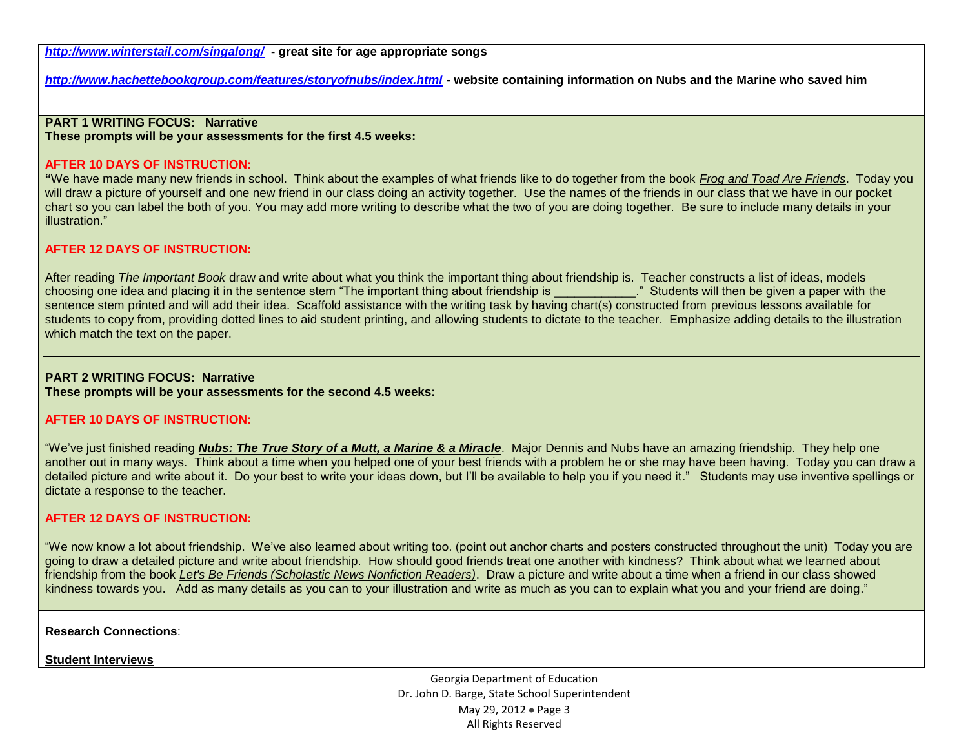*<http://www.winterstail.com/singalong/>***- great site for age appropriate songs**

*<http://www.hachettebookgroup.com/features/storyofnubs/index.html>* **- website containing information on Nubs and the Marine who saved him**

## **PART 1 WRITING FOCUS: Narrative**

**These prompts will be your assessments for the first 4.5 weeks:**

#### **AFTER 10 DAYS OF INSTRUCTION:**

**"**We have made many new friends in school. Think about the examples of what friends like to do together from the book *Frog and Toad Are Friends*. Today you will draw a picture of yourself and one new friend in our class doing an activity together. Use the names of the friends in our class that we have in our pocket chart so you can label the both of you. You may add more writing to describe what the two of you are doing together. Be sure to include many details in your illustration."

#### **AFTER 12 DAYS OF INSTRUCTION:**

After reading *The Important Book* draw and write about what you think the important thing about friendship is. Teacher constructs a list of ideas, models choosing one idea and placing it in the sentence stem "The important thing about friendship is "Students will then be given a paper with the sentence stem printed and will add their idea. Scaffold assistance with the writing task by having chart(s) constructed from previous lessons available for students to copy from, providing dotted lines to aid student printing, and allowing students to dictate to the teacher. Emphasize adding details to the illustration which match the text on the paper.

# **PART 2 WRITING FOCUS: Narrative**

**These prompts will be your assessments for the second 4.5 weeks:**

#### **AFTER 10 DAYS OF INSTRUCTION:**

"We've just finished reading *[Nubs: The True Story of a Mutt, a Marine & a Miracle](http://www.amazon.com/Nubs-True-Story-Marine-Miracle/dp/031605318X/ref=sr_1_177?s=books&ie=UTF8&qid=1329099507&sr=1-177)*. Major Dennis and Nubs have an amazing friendship. They help one another out in many ways. Think about a time when you helped one of your best friends with a problem he or she may have been having. Today you can draw a detailed picture and write about it. Do your best to write your ideas down, but I'll be available to help you if you need it." Students may use inventive spellings or dictate a response to the teacher.

#### **AFTER 12 DAYS OF INSTRUCTION:**

"We now know a lot about friendship. We've also learned about writing too. (point out anchor charts and posters constructed throughout the unit) Today you are going to draw a detailed picture and write about friendship. How should good friends treat one another with kindness? Think about what we learned about friendship from the book *Let's Be Friends (Scholastic News Nonfiction Readers)*. Draw a picture and write about a time when a friend in our class showed kindness towards you. Add as many details as you can to your illustration and write as much as you can to explain what you and your friend are doing."

**Research Connections**:

**Student Interviews**

Georgia Department of Education Dr. John D. Barge, State School Superintendent May 29, 2012 • Page 3 All Rights Reserved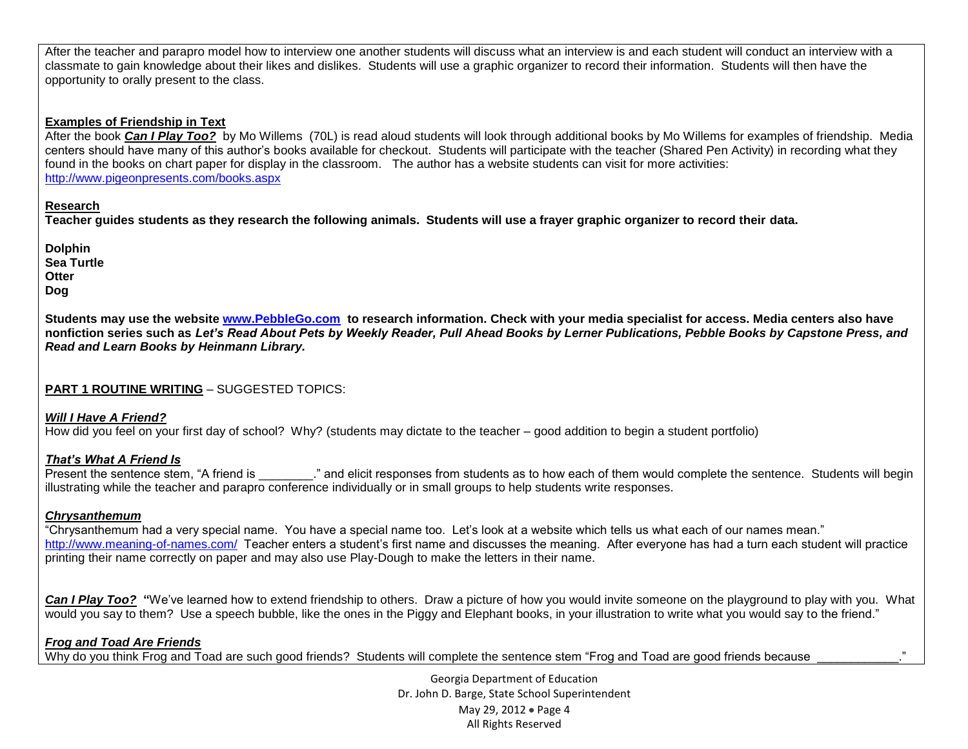After the teacher and parapro model how to interview one another students will discuss what an interview is and each student will conduct an interview with a classmate to gain knowledge about their likes and dislikes. Students will use a graphic organizer to record their information. Students will then have the opportunity to orally present to the class.

#### **Examples of Friendship in Text**

After the book *Can I Play Too?*by Mo Willems (70L) is read aloud students will look through additional books by Mo Willems for examples of friendship. Media centers should have many of this author's books available for checkout. Students will participate with the teacher (Shared Pen Activity) in recording what they found in the books on chart paper for display in the classroom. The author has a website students can visit for more activities: <http://www.pigeonpresents.com/books.aspx>

#### **Research**

**Teacher guides students as they research the following animals. Students will use a frayer graphic organizer to record their data.** 

**Dolphin Sea Turtle Otter Dog**

**Students may use the website [www.PebbleGo.com](http://www.pebblego.com/) to research information. Check with your media specialist for access. Media centers also have nonfiction series such as** *Let's Read About Pets by Weekly Reader, Pull Ahead Books by Lerner Publications, Pebble Books by Capstone Press, and Read and Learn Books by Heinmann Library.* 

#### **PART 1 ROUTINE WRITING** – SUGGESTED TOPICS:

#### *Will I Have A Friend?*

How did you feel on your first day of school? Why? (students may dictate to the teacher – good addition to begin a student portfolio)

#### *That's What A Friend Is*

Present the sentence stem, "A friend is \_\_\_\_\_\_\_\_." and elicit responses from students as to how each of them would complete the sentence. Students will begin illustrating while the teacher and parapro conference individually or in small groups to help students write responses.

#### *Chrysanthemum*

"Chrysanthemum had a very special name. You have a special name too. Let's look at a website which tells us what each of our names mean." <http://www.meaning-of-names.com/>Teacher enters a student's first name and discusses the meaning. After everyone has had a turn each student will practice printing their name correctly on paper and may also use Play-Dough to make the letters in their name.

**Can I Play Too?** "We've learned how to extend friendship to others. Draw a picture of how you would invite someone on the playground to play with you. What would you say to them? Use a speech bubble, like the ones in the Piggy and Elephant books, in your illustration to write what you would say to the friend."

#### *Frog and Toad Are Friends*

Why do you think Frog and Toad are such good friends? Students will complete the sentence stem "Frog and Toad are good friends because

Georgia Department of Education Dr. John D. Barge, State School Superintendent May 29, 2012 • Page 4 All Rights Reserved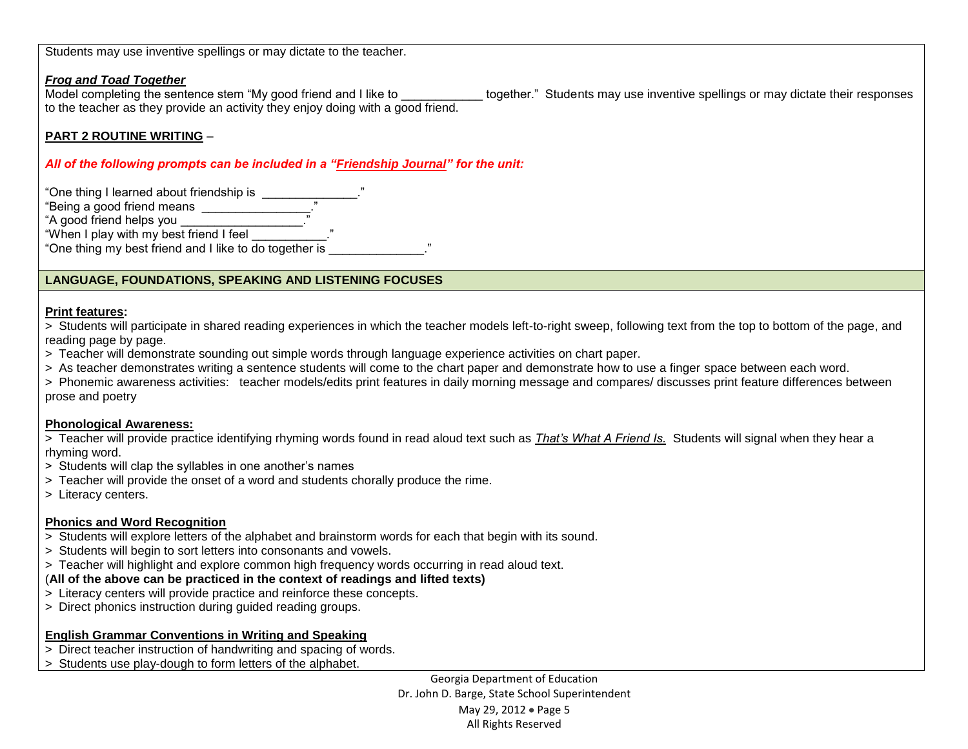Students may use inventive spellings or may dictate to the teacher.

#### *Frog and Toad Together*

Model completing the sentence stem "My good friend and I like to \_\_\_\_\_\_\_\_\_\_\_\_\_ together." Students may use inventive spellings or may dictate their responses to the teacher as they provide an activity they enjoy doing with a good friend.

### **PART 2 ROUTINE WRITING** –

#### *All of the following prompts can be included in a "Friendship Journal" for the unit:*

"One thing I learned about friendship is \_\_\_\_\_\_\_\_\_\_\_\_\_\_\_." "Being a good friend means  $\frac{1}{1-\frac{1}{2}}$ " "A good friend helps you \_\_\_\_\_\_\_\_\_\_\_\_\_\_\_\_\_\_." "When I play with my best friend I feel \_\_\_\_\_\_\_\_\_\_\_." "One thing my best friend and I like to do together is \_\_\_\_\_\_\_\_\_\_\_\_\_\_."

### **LANGUAGE, FOUNDATIONS, SPEAKING AND LISTENING FOCUSES**

#### **Print features:**

> Students will participate in shared reading experiences in which the teacher models left-to-right sweep, following text from the top to bottom of the page, and reading page by page.

- > Teacher will demonstrate sounding out simple words through language experience activities on chart paper.
- > As teacher demonstrates writing a sentence students will come to the chart paper and demonstrate how to use a finger space between each word.

> Phonemic awareness activities: teacher models/edits print features in daily morning message and compares/ discusses print feature differences between prose and poetry

#### **Phonological Awareness:**

> Teacher will provide practice identifying rhyming words found in read aloud text such as That's What A Friend Is. Students will signal when they hear a rhyming word.

- > Students will clap the syllables in one another's names
- > Teacher will provide the onset of a word and students chorally produce the rime.
- > Literacy centers.

#### **Phonics and Word Recognition**

- > Students will explore letters of the alphabet and brainstorm words for each that begin with its sound.
- > Students will begin to sort letters into consonants and vowels.
- > Teacher will highlight and explore common high frequency words occurring in read aloud text.

### (**All of the above can be practiced in the context of readings and lifted texts)**

- > Literacy centers will provide practice and reinforce these concepts.
- > Direct phonics instruction during guided reading groups.

#### **English Grammar Conventions in Writing and Speaking**

- > Direct teacher instruction of handwriting and spacing of words.
- > Students use play-dough to form letters of the alphabet.

Georgia Department of Education Dr. John D. Barge, State School Superintendent May 29, 2012 • Page 5 All Rights Reserved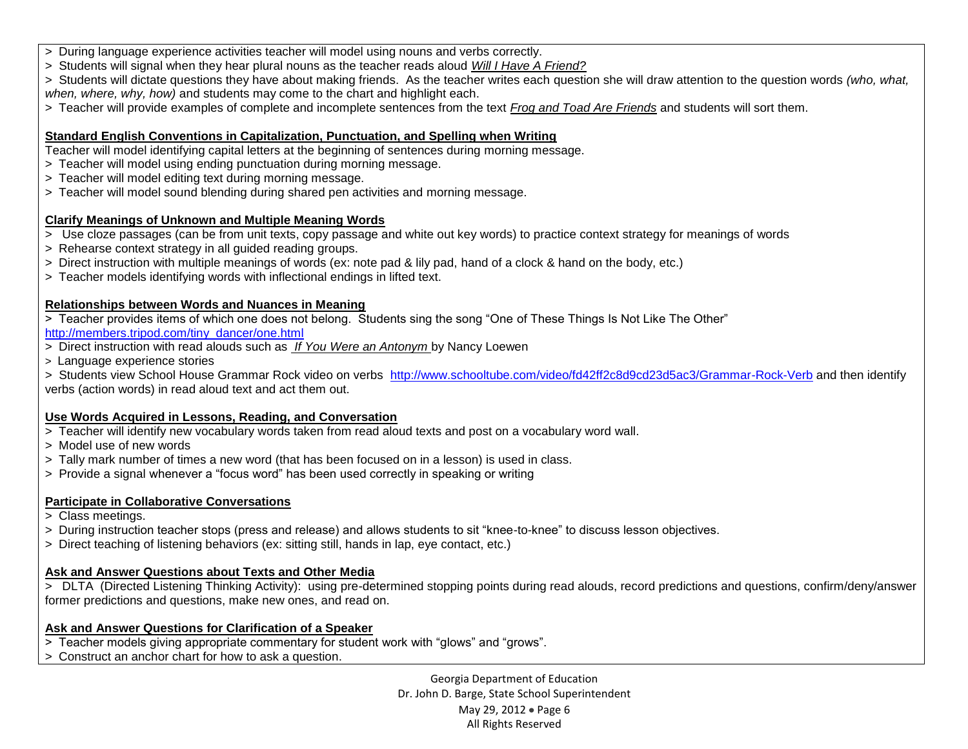- > During language experience activities teacher will model using nouns and verbs correctly.
- > Students will signal when they hear plural nouns as the teacher reads aloud *Will I Have A Friend?*
- > Students will dictate questions they have about making friends. As the teacher writes each question she will draw attention to the question words *(who, what, when, where, why, how)* and students may come to the chart and highlight each.
- > Teacher will provide examples of complete and incomplete sentences from the text *Frog and Toad Are Friends* and students will sort them.

## **Standard English Conventions in Capitalization, Punctuation, and Spelling when Writing**

Teacher will model identifying capital letters at the beginning of sentences during morning message.

- > Teacher will model using ending punctuation during morning message.
- > Teacher will model editing text during morning message.
- > Teacher will model sound blending during shared pen activities and morning message.

## **Clarify Meanings of Unknown and Multiple Meaning Words**

- > Use cloze passages (can be from unit texts, copy passage and white out key words) to practice context strategy for meanings of words
- > Rehearse context strategy in all guided reading groups.
- > Direct instruction with multiple meanings of words (ex: note pad & lily pad, hand of a clock & hand on the body, etc.)
- > Teacher models identifying words with inflectional endings in lifted text.

## **Relationships between Words and Nuances in Meaning**

- > Teacher provides items of which one does not belong. Students sing the song "One of These Things Is Not Like The Other" [http://members.tripod.com/tiny\\_dancer/one.html](http://members.tripod.com/tiny_dancer/one.html)
- > Direct instruction with read alouds such as *If You Were an Antonym* by Nancy Loewen
- > Language experience stories

> Students view School House Grammar Rock video on verbs <http://www.schooltube.com/video/fd42ff2c8d9cd23d5ac3/Grammar-Rock-Verb> and then identify verbs (action words) in read aloud text and act them out.

## **Use Words Acquired in Lessons, Reading, and Conversation**

- > Teacher will identify new vocabulary words taken from read aloud texts and post on a vocabulary word wall.
- > Model use of new words
- > Tally mark number of times a new word (that has been focused on in a lesson) is used in class.
- > Provide a signal whenever a "focus word" has been used correctly in speaking or writing

## **Participate in Collaborative Conversations**

- > Class meetings.
- > During instruction teacher stops (press and release) and allows students to sit "knee-to-knee" to discuss lesson objectives.
- > Direct teaching of listening behaviors (ex: sitting still, hands in lap, eye contact, etc.)

## **Ask and Answer Questions about Texts and Other Media**

> DLTA (Directed Listening Thinking Activity): using pre-determined stopping points during read alouds, record predictions and questions, confirm/deny/answer former predictions and questions, make new ones, and read on.

## **Ask and Answer Questions for Clarification of a Speaker**

- > Teacher models giving appropriate commentary for student work with "glows" and "grows".
- > Construct an anchor chart for how to ask a question.

Georgia Department of Education Dr. John D. Barge, State School Superintendent May 29, 2012 • Page 6 All Rights Reserved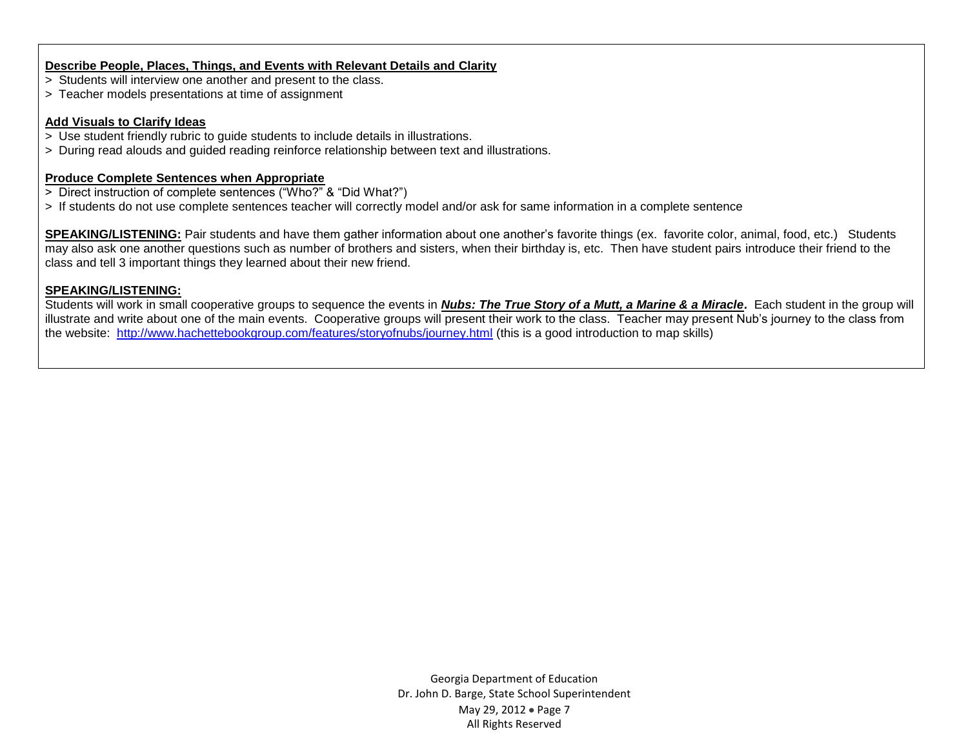#### **Describe People, Places, Things, and Events with Relevant Details and Clarity**

- > Students will interview one another and present to the class.
- > Teacher models presentations at time of assignment

#### **Add Visuals to Clarify Ideas**

- > Use student friendly rubric to guide students to include details in illustrations.
- > During read alouds and guided reading reinforce relationship between text and illustrations.

#### **Produce Complete Sentences when Appropriate**

- > Direct instruction of complete sentences ("Who?" & "Did What?")
- > If students do not use complete sentences teacher will correctly model and/or ask for same information in a complete sentence

**SPEAKING/LISTENING:** Pair students and have them gather information about one another's favorite things (ex. favorite color, animal, food, etc.) Students may also ask one another questions such as number of brothers and sisters, when their birthday is, etc. Then have student pairs introduce their friend to the class and tell 3 important things they learned about their new friend.

#### **SPEAKING/LISTENING:**

Students will work in small cooperative groups to sequence the events in *[Nubs: The True Story of a Mutt, a Marine & a Miracle](http://www.amazon.com/Nubs-True-Story-Marine-Miracle/dp/031605318X/ref=sr_1_177?s=books&ie=UTF8&qid=1329099507&sr=1-177)***.** Each student in the group will illustrate and write about one of the main events. Cooperative groups will present their work to the class. Teacher may present Nub's journey to the class from the website: <http://www.hachettebookgroup.com/features/storyofnubs/journey.html> (this is a good introduction to map skills)

> Georgia Department of Education Dr. John D. Barge, State School Superintendent May 29, 2012 • Page 7 All Rights Reserved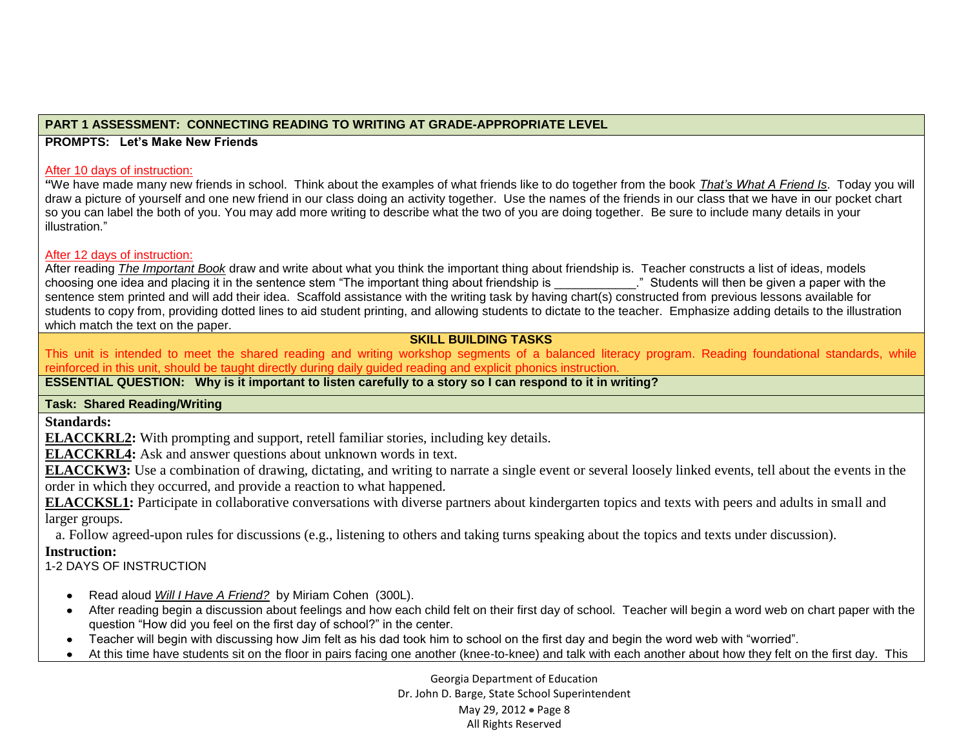### **PART 1 ASSESSMENT: CONNECTING READING TO WRITING AT GRADE-APPROPRIATE LEVEL**

**PROMPTS: Let's Make New Friends**

#### After 10 days of instruction:

**"**We have made many new friends in school. Think about the examples of what friends like to do together from the book *That's What A Friend Is*. Today you will draw a picture of yourself and one new friend in our class doing an activity together. Use the names of the friends in our class that we have in our pocket chart so you can label the both of you. You may add more writing to describe what the two of you are doing together. Be sure to include many details in your illustration."

#### After 12 days of instruction:

After reading *The Important Book* draw and write about what you think the important thing about friendship is. Teacher constructs a list of ideas, models choosing one idea and placing it in the sentence stem "The important thing about friendship is \_\_\_\_\_\_\_\_\_\_\_\_." Students will then be given a paper with the sentence stem printed and will add their idea. Scaffold assistance with the writing task by having chart(s) constructed from previous lessons available for students to copy from, providing dotted lines to aid student printing, and allowing students to dictate to the teacher. Emphasize adding details to the illustration which match the text on the paper.

#### **SKILL BUILDING TASKS**

This unit is intended to meet the shared reading and writing workshop segments of a balanced literacy program. Reading foundational standards, while reinforced in this unit, should be taught directly during daily guided reading and explicit phonics instruction.

#### **ESSENTIAL QUESTION: Why is it important to listen carefully to a story so I can respond to it in writing?**

#### **Task: Shared Reading/Writing**

**Standards:**

**ELACCKRL2:** With prompting and support, retell familiar stories, including key details.

**ELACCKRL4:** Ask and answer questions about unknown words in text.

**ELACCKW3:** Use a combination of drawing, dictating, and writing to narrate a single event or several loosely linked events, tell about the events in the order in which they occurred, and provide a reaction to what happened.

**ELACCKSL1:** Participate in collaborative conversations with diverse partners about kindergarten topics and texts with peers and adults in small and larger groups.

a. Follow agreed-upon rules for discussions (e.g., listening to others and taking turns speaking about the topics and texts under discussion).

#### **Instruction:**

1-2 DAYS OF INSTRUCTION

- Read aloud *Will I Have A Friend?*by Miriam Cohen (300L).
- After reading begin a discussion about feelings and how each child felt on their first day of school. Teacher will begin a word web on chart paper with the question "How did you feel on the first day of school?" in the center.
- Teacher will begin with discussing how Jim felt as his dad took him to school on the first day and begin the word web with "worried".
- At this time have students sit on the floor in pairs facing one another (knee-to-knee) and talk with each another about how they felt on the first day. This

Georgia Department of Education Dr. John D. Barge, State School Superintendent May 29, 2012 • Page 8 All Rights Reserved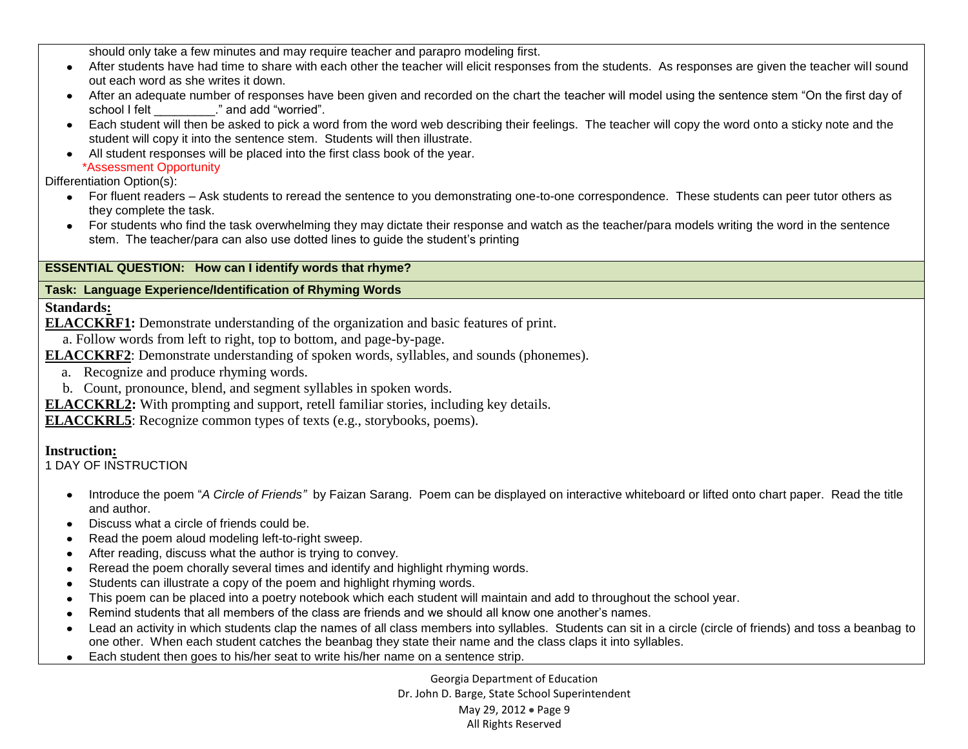should only take a few minutes and may require teacher and parapro modeling first.

- After students have had time to share with each other the teacher will elicit responses from the students. As responses are given the teacher will sound out each word as she writes it down.
- After an adequate number of responses have been given and recorded on the chart the teacher will model using the sentence stem "On the first day of school I felt  $\qquad \qquad$ ." and add "worried".
- Each student will then be asked to pick a word from the word web describing their feelings. The teacher will copy the word onto a sticky note and the student will copy it into the sentence stem. Students will then illustrate.
- All student responses will be placed into the first class book of the year.

\*Assessment Opportunity

Differentiation Option(s):

- For fluent readers Ask students to reread the sentence to you demonstrating one-to-one correspondence. These students can peer tutor others as they complete the task.
- For students who find the task overwhelming they may dictate their response and watch as the teacher/para models writing the word in the sentence stem. The teacher/para can also use dotted lines to guide the student's printing

## **ESSENTIAL QUESTION: How can I identify words that rhyme?**

## **Task: Language Experience/Identification of Rhyming Words**

**Standards:**

- **ELACCKRF1:** Demonstrate understanding of the organization and basic features of print.
- a. Follow words from left to right, top to bottom, and page-by-page.
- **ELACCKRF2**: Demonstrate understanding of spoken words, syllables, and sounds (phonemes).
	- a. Recognize and produce rhyming words.
	- b. Count, pronounce, blend, and segment syllables in spoken words.
- **ELACCKRL2:** With prompting and support, retell familiar stories, including key details.

**ELACCKRL5**: Recognize common types of texts (e.g., storybooks, poems).

## **Instruction:**

1 DAY OF INSTRUCTION

- Introduce the poem "*A Circle of Friends"* by Faizan Sarang. Poem can be displayed on interactive whiteboard or lifted onto chart paper. Read the title and author.
- Discuss what a circle of friends could be.
- Read the poem aloud modeling left-to-right sweep.
- After reading, discuss what the author is trying to convey.
- Reread the poem chorally several times and identify and highlight rhyming words.  $\bullet$  .
- Students can illustrate a copy of the poem and highlight rhyming words.  $\bullet$
- This poem can be placed into a poetry notebook which each student will maintain and add to throughout the school year.
- Remind students that all members of the class are friends and we should all know one another's names.  $\bullet$
- Lead an activity in which students clap the names of all class members into syllables. Students can sit in a circle (circle of friends) and toss a beanbag to one other. When each student catches the beanbag they state their name and the class claps it into syllables.
- Each student then goes to his/her seat to write his/her name on a sentence strip.  $\bullet$

Georgia Department of Education Dr. John D. Barge, State School Superintendent May 29, 2012 • Page 9 All Rights Reserved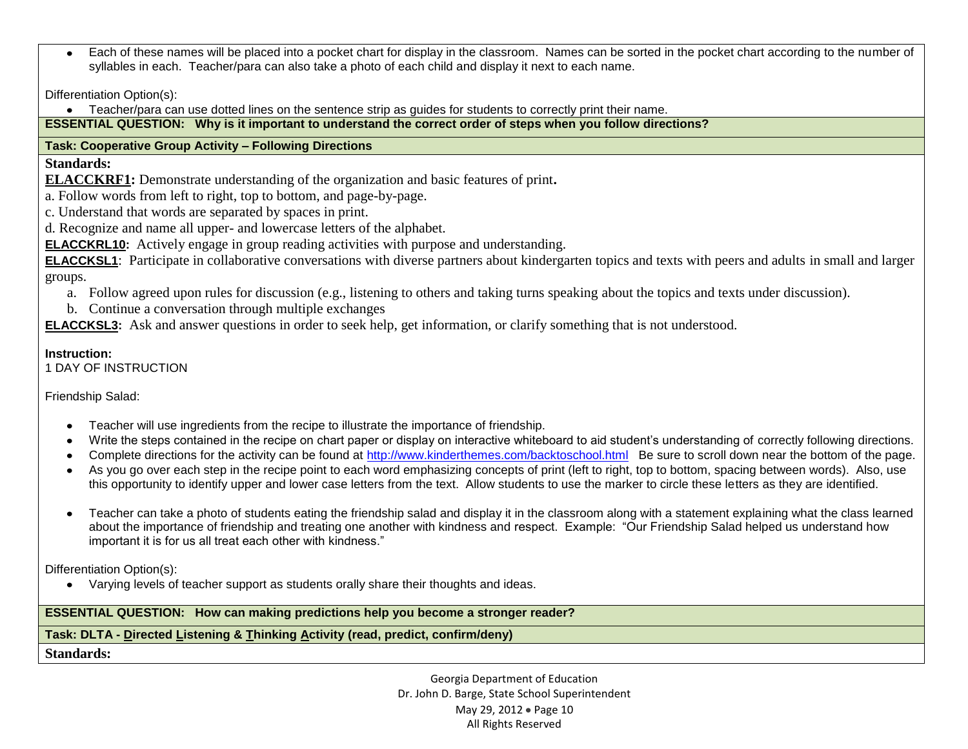Each of these names will be placed into a pocket chart for display in the classroom. Names can be sorted in the pocket chart according to the number of syllables in each. Teacher/para can also take a photo of each child and display it next to each name.

Differentiation Option(s):

Teacher/para can use dotted lines on the sentence strip as guides for students to correctly print their name.

**ESSENTIAL QUESTION: Why is it important to understand the correct order of steps when you follow directions?**

## **Task: Cooperative Group Activity – Following Directions**

**Standards:**

**ELACCKRF1:** Demonstrate understanding of the organization and basic features of print**.** 

a. Follow words from left to right, top to bottom, and page-by-page.

- c. Understand that words are separated by spaces in print.
- d. Recognize and name all upper- and lowercase letters of the alphabet.

**ELACCKRL10:** Actively engage in group reading activities with purpose and understanding.

**ELACCKSL1**: Participate in collaborative conversations with diverse partners about kindergarten topics and texts with peers and adults in small and larger groups.

- a. Follow agreed upon rules for discussion (e.g., listening to others and taking turns speaking about the topics and texts under discussion).
- b. Continue a conversation through multiple exchanges

**ELACCKSL3:** Ask and answer questions in order to seek help, get information, or clarify something that is not understood.

## **Instruction:**

1 DAY OF INSTRUCTION

Friendship Salad:

- Teacher will use ingredients from the recipe to illustrate the importance of friendship.
- Write the steps contained in the recipe on chart paper or display on interactive whiteboard to aid student's understanding of correctly following directions.
- Complete directions for the activity can be found at<http://www.kinderthemes.com/backtoschool.html>Be sure to scroll down near the bottom of the page.  $\bullet$
- As you go over each step in the recipe point to each word emphasizing concepts of print (left to right, top to bottom, spacing between words). Also, use this opportunity to identify upper and lower case letters from the text. Allow students to use the marker to circle these letters as they are identified.
- Teacher can take a photo of students eating the friendship salad and display it in the classroom along with a statement explaining what the class learned about the importance of friendship and treating one another with kindness and respect. Example: "Our Friendship Salad helped us understand how important it is for us all treat each other with kindness."

Differentiation Option(s):

Varying levels of teacher support as students orally share their thoughts and ideas.

## **ESSENTIAL QUESTION: How can making predictions help you become a stronger reader?**

## **Task: DLTA - Directed Listening & Thinking Activity (read, predict, confirm/deny)**

**Standards:**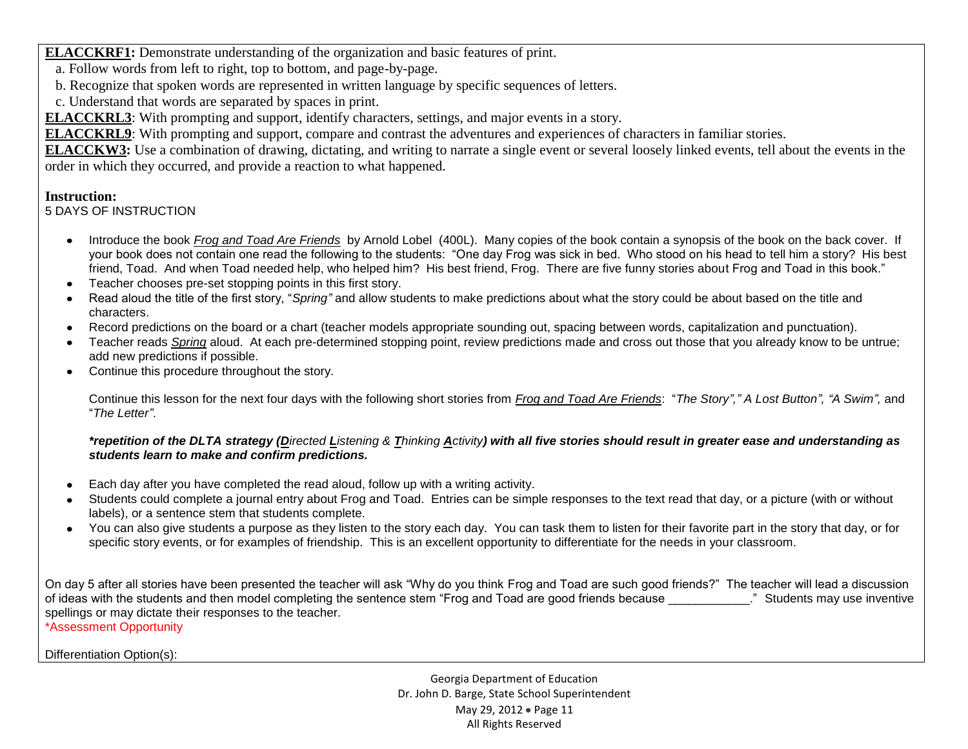**ELACCKRF1:** Demonstrate understanding of the organization and basic features of print.

- a. Follow words from left to right, top to bottom, and page-by-page.
- b. Recognize that spoken words are represented in written language by specific sequences of letters.
- c. Understand that words are separated by spaces in print.

**ELACCKRL3**: With prompting and support, identify characters, settings, and major events in a story.

**ELACCKRL9**: With prompting and support, compare and contrast the adventures and experiences of characters in familiar stories.

**ELACCKW3:** Use a combination of drawing, dictating, and writing to narrate a single event or several loosely linked events, tell about the events in the order in which they occurred, and provide a reaction to what happened.

### **Instruction:**

5 DAYS OF INSTRUCTION

- Introduce the book *Frog and Toad Are Friends* by Arnold Lobel (400L). Many copies of the book contain a synopsis of the book on the back cover. If your book does not contain one read the following to the students: "One day Frog was sick in bed. Who stood on his head to tell him a story? His best friend, Toad. And when Toad needed help, who helped him? His best friend, Frog. There are five funny stories about Frog and Toad in this book."
- Teacher chooses pre-set stopping points in this first story.
- Read aloud the title of the first story, "*Spring"* and allow students to make predictions about what the story could be about based on the title and characters.
- Record predictions on the board or a chart (teacher models appropriate sounding out, spacing between words, capitalization and punctuation).
- Teacher reads *Spring* aloud. At each pre-determined stopping point, review predictions made and cross out those that you already know to be untrue; add new predictions if possible.
- Continue this procedure throughout the story.

Continue this lesson for the next four days with the following short stories from *Frog and Toad Are Friends*: "*The Story"," A Lost Button", "A Swim",* and "*The Letter"*.

#### *\*repetition of the DLTA strategy (Directed Listening & Thinking Activity) with all five stories should result in greater ease and understanding as students learn to make and confirm predictions.*

- Each day after you have completed the read aloud, follow up with a writing activity.  $\bullet$
- Students could complete a journal entry about Frog and Toad. Entries can be simple responses to the text read that day, or a picture (with or without labels), or a sentence stem that students complete.
- You can also give students a purpose as they listen to the story each day. You can task them to listen for their favorite part in the story that day, or for specific story events, or for examples of friendship. This is an excellent opportunity to differentiate for the needs in your classroom.

On day 5 after all stories have been presented the teacher will ask "Why do you think Frog and Toad are such good friends?" The teacher will lead a discussion of ideas with the students and then model completing the sentence stem "Frog and Toad are good friends because \_\_\_\_\_\_\_\_\_\_\_\_." Students may use inventive spellings or may dictate their responses to the teacher.

\*Assessment Opportunity

Differentiation Option(s):

Georgia Department of Education Dr. John D. Barge, State School Superintendent May 29, 2012 • Page 11 All Rights Reserved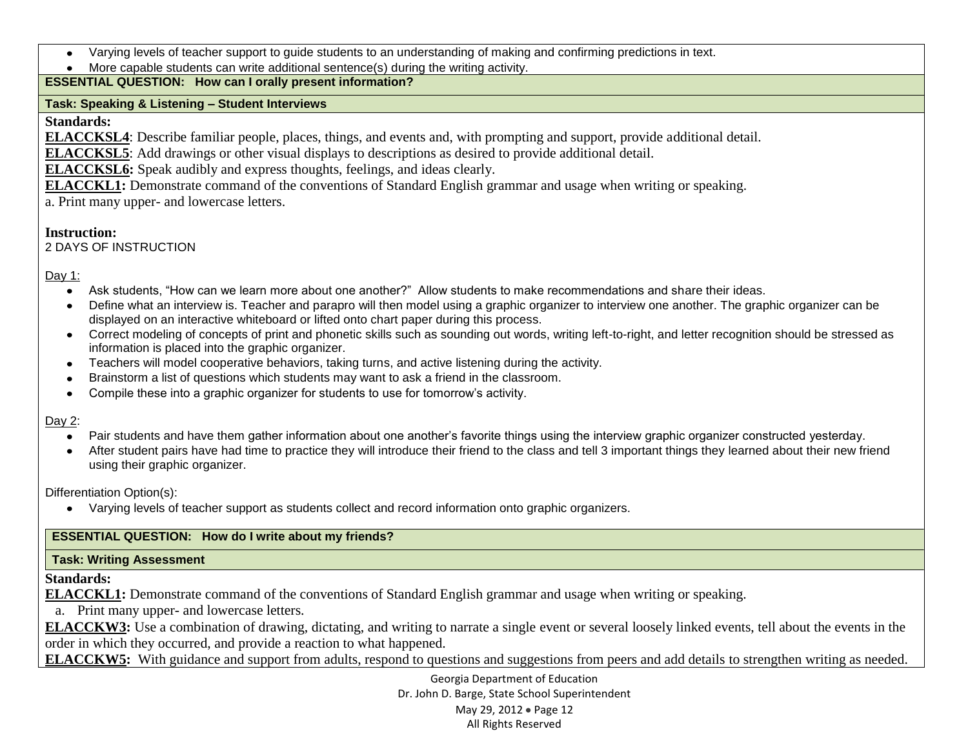- Varying levels of teacher support to guide students to an understanding of making and confirming predictions in text.
- More capable students can write additional sentence(s) during the writing activity.

## **ESSENTIAL QUESTION: How can I orally present information?**

### **Task: Speaking & Listening – Student Interviews**

### **Standards:**

**ELACCKSL4**: Describe familiar people, places, things, and events and, with prompting and support, provide additional detail.

**ELACCKSL5**: Add drawings or other visual displays to descriptions as desired to provide additional detail.

**ELACCKSL6:** Speak audibly and express thoughts, feelings, and ideas clearly.

**ELACCKL1:** Demonstrate command of the conventions of Standard English grammar and usage when writing or speaking.

a. Print many upper- and lowercase letters.

## **Instruction:**

2 DAYS OF INSTRUCTION

Day 1:

- Ask students, "How can we learn more about one another?" Allow students to make recommendations and share their ideas.
- Define what an interview is. Teacher and parapro will then model using a graphic organizer to interview one another. The graphic organizer can be displayed on an interactive whiteboard or lifted onto chart paper during this process.
- Correct modeling of concepts of print and phonetic skills such as sounding out words, writing left-to-right, and letter recognition should be stressed as information is placed into the graphic organizer.
- Teachers will model cooperative behaviors, taking turns, and active listening during the activity.
- Brainstorm a list of questions which students may want to ask a friend in the classroom.  $\bullet$
- Compile these into a graphic organizer for students to use for tomorrow's activity.

## Day 2:

- Pair students and have them gather information about one another's favorite things using the interview graphic organizer constructed yesterday.  $\bullet$
- After student pairs have had time to practice they will introduce their friend to the class and tell 3 important things they learned about their new friend using their graphic organizer.

Differentiation Option(s):

Varying levels of teacher support as students collect and record information onto graphic organizers.

## **ESSENTIAL QUESTION: How do I write about my friends?**

## **Task: Writing Assessment**

## **Standards:**

**ELACCKL1:** Demonstrate command of the conventions of Standard English grammar and usage when writing or speaking.

a. Print many upper- and lowercase letters.

**ELACCKW3:** Use a combination of drawing, dictating, and writing to narrate a single event or several loosely linked events, tell about the events in the order in which they occurred, and provide a reaction to what happened.

**ELACCKW5:** With guidance and support from adults, respond to questions and suggestions from peers and add details to strengthen writing as needed.

Georgia Department of Education Dr. John D. Barge, State School Superintendent May 29, 2012 • Page 12 All Rights Reserved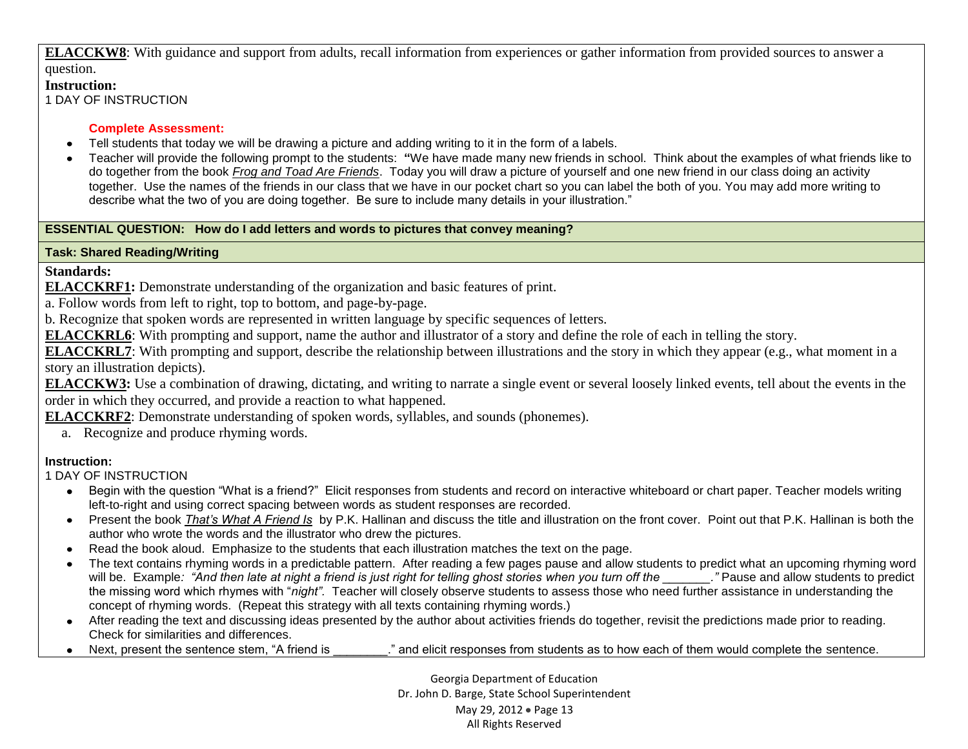**ELACCKW8**: With guidance and support from adults, recall information from experiences or gather information from provided sources to answer a question.

### **Instruction:**

1 DAY OF INSTRUCTION

#### **Complete Assessment:**

- Tell students that today we will be drawing a picture and adding writing to it in the form of a labels.
- Teacher will provide the following prompt to the students: **"**We have made many new friends in school. Think about the examples of what friends like to do together from the book *Frog and Toad Are Friends*. Today you will draw a picture of yourself and one new friend in our class doing an activity together. Use the names of the friends in our class that we have in our pocket chart so you can label the both of you. You may add more writing to describe what the two of you are doing together. Be sure to include many details in your illustration."

## **ESSENTIAL QUESTION: How do I add letters and words to pictures that convey meaning?**

## **Task: Shared Reading/Writing**

## **Standards:**

**ELACCKRF1:** Demonstrate understanding of the organization and basic features of print.

a. Follow words from left to right, top to bottom, and page-by-page.

b. Recognize that spoken words are represented in written language by specific sequences of letters.

**ELACCKRL6**: With prompting and support, name the author and illustrator of a story and define the role of each in telling the story.

**ELACCKRL7**: With prompting and support, describe the relationship between illustrations and the story in which they appear (e.g., what moment in a story an illustration depicts).

**ELACCKW3:** Use a combination of drawing, dictating, and writing to narrate a single event or several loosely linked events, tell about the events in the order in which they occurred, and provide a reaction to what happened.

**ELACCKRF2**: Demonstrate understanding of spoken words, syllables, and sounds (phonemes).

a. Recognize and produce rhyming words.

## **Instruction:**

1 DAY OF INSTRUCTION

- Begin with the question "What is a friend?" Elicit responses from students and record on interactive whiteboard or chart paper. Teacher models writing left-to-right and using correct spacing between words as student responses are recorded.
- Present the book *That's What A Friend Is*by P.K. Hallinan and discuss the title and illustration on the front cover. Point out that P.K. Hallinan is both the author who wrote the words and the illustrator who drew the pictures.
- Read the book aloud. Emphasize to the students that each illustration matches the text on the page.
- The text contains rhyming words in a predictable pattern. After reading a few pages pause and allow students to predict what an upcoming rhyming word will be. Example: "And then late at night a friend is just right for telling ghost stories when you turn off the zame and allow students to predict the missing word which rhymes with "*night".* Teacher will closely observe students to assess those who need further assistance in understanding the concept of rhyming words. (Repeat this strategy with all texts containing rhyming words.)
- After reading the text and discussing ideas presented by the author about activities friends do together, revisit the predictions made prior to reading. Check for similarities and differences.
- Next, present the sentence stem, "A friend is  $\ldots$  " and elicit responses from students as to how each of them would complete the sentence.

Georgia Department of Education Dr. John D. Barge, State School Superintendent May 29, 2012 • Page 13 All Rights Reserved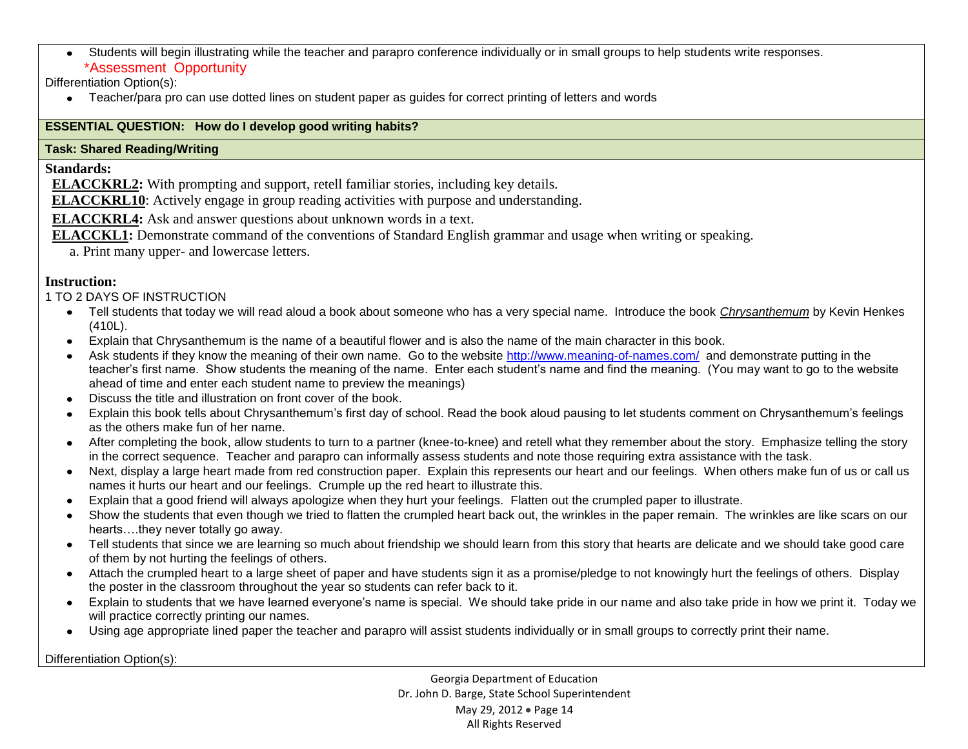Students will begin illustrating while the teacher and parapro conference individually or in small groups to help students write responses. \*Assessment Opportunity

Differentiation Option(s):

Teacher/para pro can use dotted lines on student paper as guides for correct printing of letters and words

## **ESSENTIAL QUESTION: How do I develop good writing habits?**

### **Task: Shared Reading/Writing**

### **Standards:**

 **ELACCKRL2:** With prompting and support, retell familiar stories, including key details.

**ELACCKRL10**: Actively engage in group reading activities with purpose and understanding.

 **ELACCKRL4:** Ask and answer questions about unknown words in a text.

- **ELACCKL1:** Demonstrate command of the conventions of Standard English grammar and usage when writing or speaking.
	- a. Print many upper- and lowercase letters.

## **Instruction:**

1 TO 2 DAYS OF INSTRUCTION

- Tell students that today we will read aloud a book about someone who has a very special name. Introduce the book *Chrysanthemum* by Kevin Henkes (410L).
- Explain that Chrysanthemum is the name of a beautiful flower and is also the name of the main character in this book.
- Ask students if they know the meaning of their own name. Go to the website<http://www.meaning-of-names.com/>and demonstrate putting in the teacher's first name. Show students the meaning of the name. Enter each student's name and find the meaning. (You may want to go to the website ahead of time and enter each student name to preview the meanings)
- Discuss the title and illustration on front cover of the book.  $\bullet$
- Explain this book tells about Chrysanthemum's first day of school. Read the book aloud pausing to let students comment on Chrysanthemum's feelings as the others make fun of her name.
- After completing the book, allow students to turn to a partner (knee-to-knee) and retell what they remember about the story. Emphasize telling the story in the correct sequence. Teacher and parapro can informally assess students and note those requiring extra assistance with the task.
- Next, display a large heart made from red construction paper. Explain this represents our heart and our feelings. When others make fun of us or call us names it hurts our heart and our feelings. Crumple up the red heart to illustrate this.
- Explain that a good friend will always apologize when they hurt your feelings. Flatten out the crumpled paper to illustrate.
- Show the students that even though we tried to flatten the crumpled heart back out, the wrinkles in the paper remain. The wrinkles are like scars on our hearts….they never totally go away.
- Tell students that since we are learning so much about friendship we should learn from this story that hearts are delicate and we should take good care of them by not hurting the feelings of others.
- Attach the crumpled heart to a large sheet of paper and have students sign it as a promise/pledge to not knowingly hurt the feelings of others. Display the poster in the classroom throughout the year so students can refer back to it.
- Explain to students that we have learned everyone's name is special. We should take pride in our name and also take pride in how we print it. Today we will practice correctly printing our names.
- Using age appropriate lined paper the teacher and parapro will assist students individually or in small groups to correctly print their name.

Differentiation Option(s):

Georgia Department of Education Dr. John D. Barge, State School Superintendent May 29, 2012 • Page 14 All Rights Reserved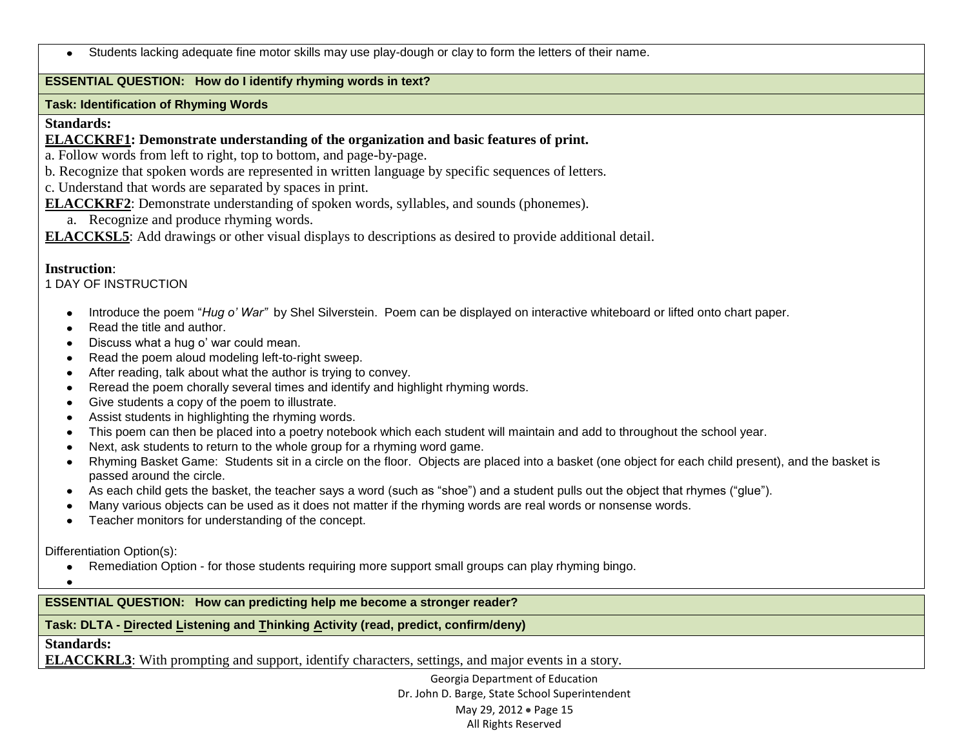Students lacking adequate fine motor skills may use play-dough or clay to form the letters of their name.

### **ESSENTIAL QUESTION: How do I identify rhyming words in text?**

#### **Task: Identification of Rhyming Words**

#### **Standards:**

**ELACCKRF1: Demonstrate understanding of the organization and basic features of print.** 

a. Follow words from left to right, top to bottom, and page-by-page.

b. Recognize that spoken words are represented in written language by specific sequences of letters.

c. Understand that words are separated by spaces in print.

**ELACCKRF2**: Demonstrate understanding of spoken words, syllables, and sounds (phonemes).

a. Recognize and produce rhyming words.

**ELACCKSL5**: Add drawings or other visual displays to descriptions as desired to provide additional detail.

### **Instruction**:

1 DAY OF INSTRUCTION

- Introduce the poem "*Hug o' War"* by Shel Silverstein. Poem can be displayed on interactive whiteboard or lifted onto chart paper.  $\bullet$
- Read the title and author.
- Discuss what a hug o' war could mean.
- Read the poem aloud modeling left-to-right sweep.
- After reading, talk about what the author is trying to convey.
- Reread the poem chorally several times and identify and highlight rhyming words.
- Give students a copy of the poem to illustrate.
- Assist students in highlighting the rhyming words.
- This poem can then be placed into a poetry notebook which each student will maintain and add to throughout the school year.
- Next, ask students to return to the whole group for a rhyming word game.  $\bullet$
- Rhyming Basket Game: Students sit in a circle on the floor. Objects are placed into a basket (one object for each child present), and the basket is  $\bullet$ passed around the circle.
- As each child gets the basket, the teacher says a word (such as "shoe") and a student pulls out the object that rhymes ("glue").
- Many various objects can be used as it does not matter if the rhyming words are real words or nonsense words.
- Teacher monitors for understanding of the concept.

Differentiation Option(s):

- Remediation Option for those students requiring more support small groups can play rhyming bingo.  $\bullet$
- $\bullet$

#### **ESSENTIAL QUESTION: How can predicting help me become a stronger reader?**

## **Task: DLTA - Directed Listening and Thinking Activity (read, predict, confirm/deny)**

**Standards:**

**ELACCKRL3**: With prompting and support, identify characters, settings, and major events in a story.

Georgia Department of Education Dr. John D. Barge, State School Superintendent May 29, 2012 • Page 15 All Rights Reserved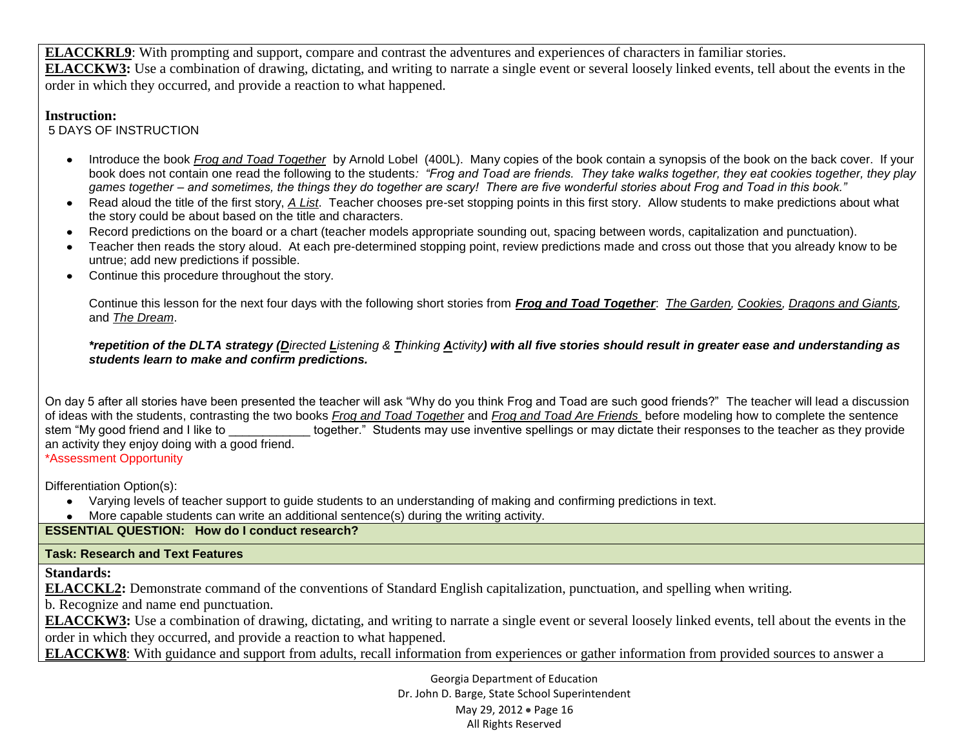**ELACCKRL9**: With prompting and support, compare and contrast the adventures and experiences of characters in familiar stories. **ELACCKW3:** Use a combination of drawing, dictating, and writing to narrate a single event or several loosely linked events, tell about the events in the order in which they occurred, and provide a reaction to what happened.

## **Instruction:**

5 DAYS OF INSTRUCTION

- Introduce the book *Frog and Toad Together* by Arnold Lobel (400L). Many copies of the book contain a synopsis of the book on the back cover. If your book does not contain one read the following to the students*: "Frog and Toad are friends. They take walks together, they eat cookies together, they play games together – and sometimes, the things they do together are scary! There are five wonderful stories about Frog and Toad in this book."*
- Read aloud the title of the first story, *A List*. Teacher chooses pre-set stopping points in this first story. Allow students to make predictions about what the story could be about based on the title and characters.
- Record predictions on the board or a chart (teacher models appropriate sounding out, spacing between words, capitalization and punctuation).
- Teacher then reads the story aloud. At each pre-determined stopping point, review predictions made and cross out those that you already know to be untrue; add new predictions if possible.
- Continue this procedure throughout the story.

Continue this lesson for the next four days with the following short stories from *Frog and Toad Together*: *The Garden, Cookies, Dragons and Giants,*  and *The Dream*.

*\*repetition of the DLTA strategy (Directed Listening & Thinking Activity) with all five stories should result in greater ease and understanding as students learn to make and confirm predictions.*

On day 5 after all stories have been presented the teacher will ask "Why do you think Frog and Toad are such good friends?" The teacher will lead a discussion of ideas with the students, contrasting the two books *Frog and Toad Together* and *Frog and Toad Are Friends* before modeling how to complete the sentence together." Students may use inventive spellings or may dictate their responses to the teacher as they provide an activity they enjoy doing with a good friend.

\*Assessment Opportunity

Differentiation Option(s):

- Varying levels of teacher support to guide students to an understanding of making and confirming predictions in text.
- More capable students can write an additional sentence(s) during the writing activity.

**ESSENTIAL QUESTION: How do I conduct research?**

## **Task: Research and Text Features**

**Standards:**

**ELACCKL2:** Demonstrate command of the conventions of Standard English capitalization, punctuation, and spelling when writing.

b. Recognize and name end punctuation.

**ELACCKW3:** Use a combination of drawing, dictating, and writing to narrate a single event or several loosely linked events, tell about the events in the order in which they occurred, and provide a reaction to what happened.

**ELACCKW8**: With guidance and support from adults, recall information from experiences or gather information from provided sources to answer a

Georgia Department of Education Dr. John D. Barge, State School Superintendent May 29, 2012 • Page 16 All Rights Reserved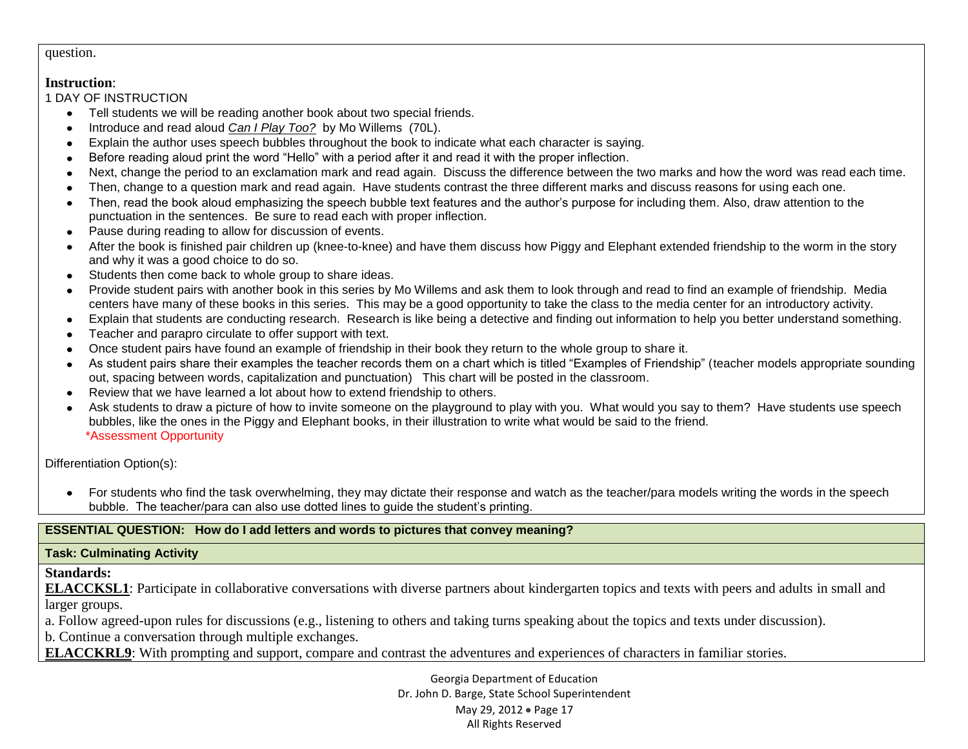#### question.

#### **Instruction**:

1 DAY OF INSTRUCTION

- Tell students we will be reading another book about two special friends.
- Introduce and read aloud *Can I Play Too?*by Mo Willems (70L).
- Explain the author uses speech bubbles throughout the book to indicate what each character is saying.  $\bullet$
- Before reading aloud print the word "Hello" with a period after it and read it with the proper inflection.  $\bullet$
- Next, change the period to an exclamation mark and read again. Discuss the difference between the two marks and how the word was read each time.  $\bullet$
- Then, change to a question mark and read again. Have students contrast the three different marks and discuss reasons for using each one.
- Then, read the book aloud emphasizing the speech bubble text features and the author's purpose for including them. Also, draw attention to the punctuation in the sentences. Be sure to read each with proper inflection.
- Pause during reading to allow for discussion of events.
- After the book is finished pair children up (knee-to-knee) and have them discuss how Piggy and Elephant extended friendship to the worm in the story  $\bullet$ and why it was a good choice to do so.
- Students then come back to whole group to share ideas.
- Provide student pairs with another book in this series by Mo Willems and ask them to look through and read to find an example of friendship. Media  $\bullet$ centers have many of these books in this series. This may be a good opportunity to take the class to the media center for an introductory activity.
- Explain that students are conducting research. Research is like being a detective and finding out information to help you better understand something.  $\bullet$
- Teacher and parapro circulate to offer support with text.
- Once student pairs have found an example of friendship in their book they return to the whole group to share it.
- As student pairs share their examples the teacher records them on a chart which is titled "Examples of Friendship" (teacher models appropriate sounding out, spacing between words, capitalization and punctuation) This chart will be posted in the classroom.
- Review that we have learned a lot about how to extend friendship to others.
- Ask students to draw a picture of how to invite someone on the playground to play with you. What would you say to them? Have students use speech bubbles, like the ones in the Piggy and Elephant books, in their illustration to write what would be said to the friend. \*Assessment Opportunity

Differentiation Option(s):

• For students who find the task overwhelming, they may dictate their response and watch as the teacher/para models writing the words in the speech bubble. The teacher/para can also use dotted lines to guide the student's printing.

### **ESSENTIAL QUESTION: How do I add letters and words to pictures that convey meaning?**

#### **Task: Culminating Activity**

**Standards:**

**ELACCKSL1**: Participate in collaborative conversations with diverse partners about kindergarten topics and texts with peers and adults in small and larger groups.

a. Follow agreed-upon rules for discussions (e.g., listening to others and taking turns speaking about the topics and texts under discussion).

b. Continue a conversation through multiple exchanges.

**ELACCKRL9**: With prompting and support, compare and contrast the adventures and experiences of characters in familiar stories.

Georgia Department of Education Dr. John D. Barge, State School Superintendent May 29, 2012 • Page 17 All Rights Reserved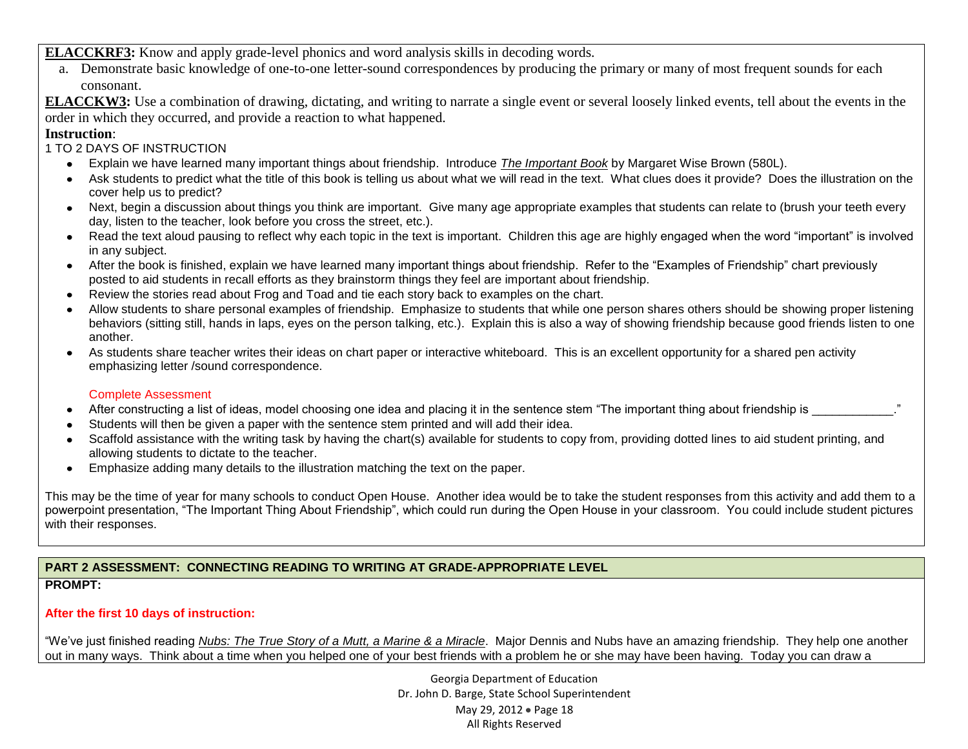**ELACCKRF3:** Know and apply grade-level phonics and word analysis skills in decoding words.

a. Demonstrate basic knowledge of one-to-one letter-sound correspondences by producing the primary or many of most frequent sounds for each consonant.

**ELACCKW3:** Use a combination of drawing, dictating, and writing to narrate a single event or several loosely linked events, tell about the events in the order in which they occurred, and provide a reaction to what happened.

## **Instruction**:

### 1 TO 2 DAYS OF INSTRUCTION

- Explain we have learned many important things about friendship. Introduce *The Important Book* by Margaret Wise Brown (580L).
- Ask students to predict what the title of this book is telling us about what we will read in the text. What clues does it provide? Does the illustration on the cover help us to predict?
- Next, begin a discussion about things you think are important. Give many age appropriate examples that students can relate to (brush your teeth every day, listen to the teacher, look before you cross the street, etc.).
- Read the text aloud pausing to reflect why each topic in the text is important. Children this age are highly engaged when the word "important" is involved in any subject.
- After the book is finished, explain we have learned many important things about friendship. Refer to the "Examples of Friendship" chart previously posted to aid students in recall efforts as they brainstorm things they feel are important about friendship.
- Review the stories read about Frog and Toad and tie each story back to examples on the chart.  $\bullet$
- Allow students to share personal examples of friendship. Emphasize to students that while one person shares others should be showing proper listening behaviors (sitting still, hands in laps, eyes on the person talking, etc.). Explain this is also a way of showing friendship because good friends listen to one another.
- As students share teacher writes their ideas on chart paper or interactive whiteboard. This is an excellent opportunity for a shared pen activity emphasizing letter /sound correspondence.

#### Complete Assessment

- After constructing a list of ideas, model choosing one idea and placing it in the sentence stem "The important thing about friendship is \_\_\_\_\_\_\_\_\_\_\_\_."
- Students will then be given a paper with the sentence stem printed and will add their idea.
- Scaffold assistance with the writing task by having the chart(s) available for students to copy from, providing dotted lines to aid student printing, and allowing students to dictate to the teacher.
- Emphasize adding many details to the illustration matching the text on the paper.

This may be the time of year for many schools to conduct Open House. Another idea would be to take the student responses from this activity and add them to a powerpoint presentation, "The Important Thing About Friendship", which could run during the Open House in your classroom. You could include student pictures with their responses.

## **PART 2 ASSESSMENT: CONNECTING READING TO WRITING AT GRADE-APPROPRIATE LEVEL**

## **PROMPT:**

## **After the first 10 days of instruction:**

"We've just finished reading *[Nubs: The True Story of a Mutt, a Marine & a Miracle](http://www.amazon.com/Nubs-True-Story-Marine-Miracle/dp/031605318X/ref=sr_1_177?s=books&ie=UTF8&qid=1329099507&sr=1-177)*. Major Dennis and Nubs have an amazing friendship. They help one another out in many ways. Think about a time when you helped one of your best friends with a problem he or she may have been having. Today you can draw a

> Georgia Department of Education Dr. John D. Barge, State School Superintendent May 29, 2012 • Page 18 All Rights Reserved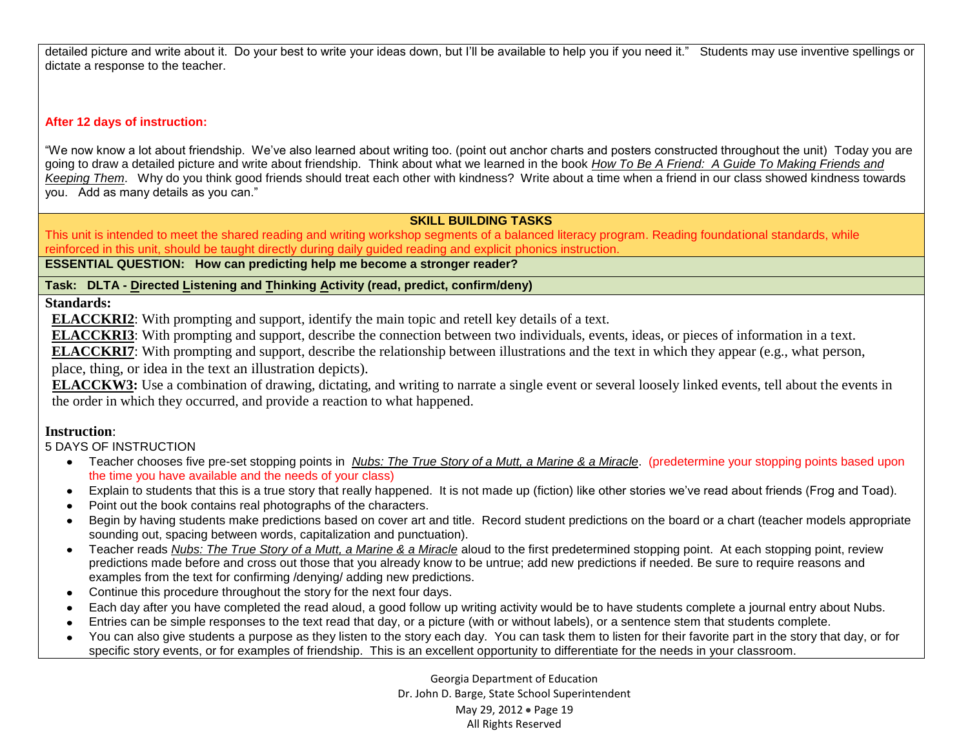detailed picture and write about it. Do your best to write your ideas down, but I'll be available to help you if you need it." Students may use inventive spellings or dictate a response to the teacher.

#### **After 12 days of instruction:**

"We now know a lot about friendship. We've also learned about writing too. (point out anchor charts and posters constructed throughout the unit) Today you are going to draw a detailed picture and write about friendship. Think about what we learned in the book *How To Be A Friend: A Guide To Making Friends and Keeping Them*. Why do you think good friends should treat each other with kindness? Write about a time when a friend in our class showed kindness towards you. Add as many details as you can."

#### **SKILL BUILDING TASKS**

This unit is intended to meet the shared reading and writing workshop segments of a balanced literacy program. Reading foundational standards, while reinforced in this unit, should be taught directly during daily guided reading and explicit phonics instruction.

**ESSENTIAL QUESTION: How can predicting help me become a stronger reader?**

#### **Task: DLTA - Directed Listening and Thinking Activity (read, predict, confirm/deny)**

**Standards:**

**ELACCKRI2**: With prompting and support, identify the main topic and retell key details of a text.

**ELACCKRI3**: With prompting and support, describe the connection between two individuals, events, ideas, or pieces of information in a text.

**ELACCKRI7**: With prompting and support, describe the relationship between illustrations and the text in which they appear (e.g., what person, place, thing, or idea in the text an illustration depicts).

**ELACCKW3:** Use a combination of drawing, dictating, and writing to narrate a single event or several loosely linked events, tell about the events in the order in which they occurred, and provide a reaction to what happened.

## **Instruction**:

5 DAYS OF INSTRUCTION

- Teacher chooses five pre-set stopping points in *[Nubs: The True Story of a Mutt, a Marine & a Miracle](http://www.amazon.com/Nubs-True-Story-Marine-Miracle/dp/031605318X/ref=sr_1_177?s=books&ie=UTF8&qid=1329099507&sr=1-177)*. (predetermine your stopping points based upon the time you have available and the needs of your class)
- Explain to students that this is a true story that really happened. It is not made up (fiction) like other stories we've read about friends (Frog and Toad).
- Point out the book contains real photographs of the characters.  $\bullet$
- Begin by having students make predictions based on cover art and title. Record student predictions on the board or a chart (teacher models appropriate  $\bullet$ sounding out, spacing between words, capitalization and punctuation).
- Teacher reads *[Nubs: The True Story of a Mutt, a Marine & a Miracle](http://www.amazon.com/Nubs-True-Story-Marine-Miracle/dp/031605318X/ref=sr_1_177?s=books&ie=UTF8&qid=1329099507&sr=1-177)* aloud to the first predetermined stopping point. At each stopping point, review predictions made before and cross out those that you already know to be untrue; add new predictions if needed. Be sure to require reasons and examples from the text for confirming /denying/ adding new predictions.
- Continue this procedure throughout the story for the next four days.
- Each day after you have completed the read aloud, a good follow up writing activity would be to have students complete a journal entry about Nubs.  $\bullet$
- Entries can be simple responses to the text read that day, or a picture (with or without labels), or a sentence stem that students complete.  $\bullet$
- You can also give students a purpose as they listen to the story each day. You can task them to listen for their favorite part in the story that day, or for specific story events, or for examples of friendship. This is an excellent opportunity to differentiate for the needs in your classroom.

Georgia Department of Education Dr. John D. Barge, State School Superintendent May 29, 2012 • Page 19 All Rights Reserved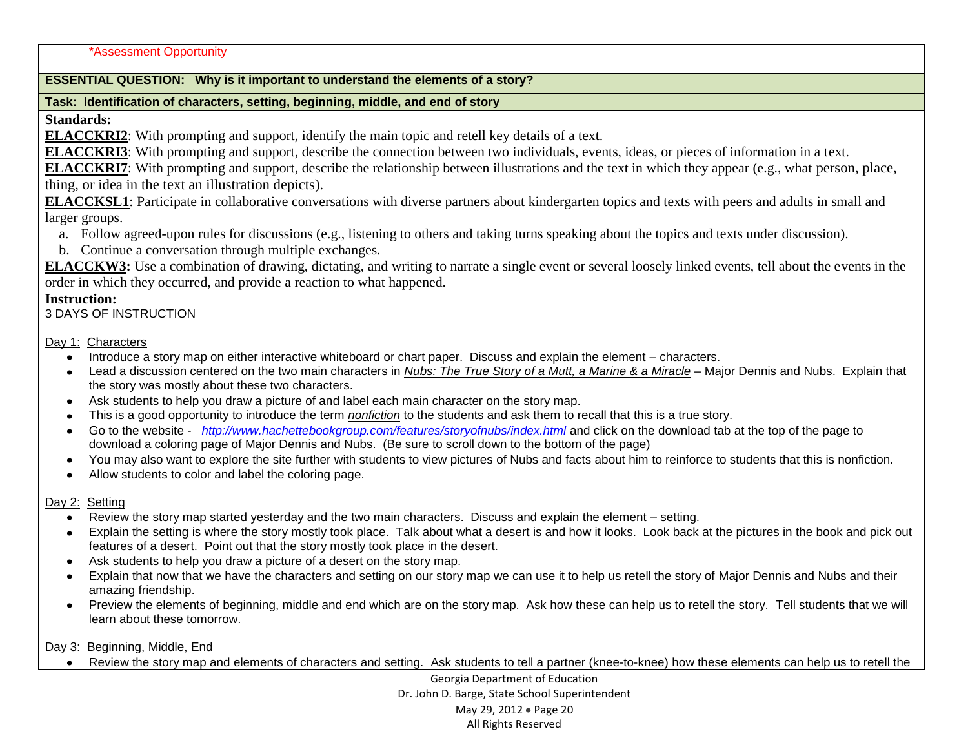#### \*Assessment Opportunity

#### **ESSENTIAL QUESTION: Why is it important to understand the elements of a story?**

#### **Task: Identification of characters, setting, beginning, middle, and end of story**

### **Standards:**

**ELACCKRI2**: With prompting and support, identify the main topic and retell key details of a text.

**ELACCKRI3**: With prompting and support, describe the connection between two individuals, events, ideas, or pieces of information in a text.

**ELACCKRI7**: With prompting and support, describe the relationship between illustrations and the text in which they appear (e.g., what person, place, thing, or idea in the text an illustration depicts).

**ELACCKSL1**: Participate in collaborative conversations with diverse partners about kindergarten topics and texts with peers and adults in small and larger groups.

- a. Follow agreed-upon rules for discussions (e.g., listening to others and taking turns speaking about the topics and texts under discussion).
- b. Continue a conversation through multiple exchanges.

**ELACCKW3:** Use a combination of drawing, dictating, and writing to narrate a single event or several loosely linked events, tell about the events in the order in which they occurred, and provide a reaction to what happened.

#### **Instruction:**

3 DAYS OF INSTRUCTION

#### Day 1: Characters

- Introduce a story map on either interactive whiteboard or chart paper. Discuss and explain the element characters.
- Lead a discussion centered on the two main characters in *[Nubs: The True Story of a Mutt, a Marine & a Miracle](http://www.amazon.com/Nubs-True-Story-Marine-Miracle/dp/031605318X/ref=sr_1_177?s=books&ie=UTF8&qid=1329099507&sr=1-177)* Major Dennis and Nubs. Explain that the story was mostly about these two characters.
- Ask students to help you draw a picture of and label each main character on the story map.
- This is a good opportunity to introduce the term *nonfiction* to the students and ask them to recall that this is a true story.
- Go to the website *<http://www.hachettebookgroup.com/features/storyofnubs/index.html>* and click on the download tab at the top of the page to download a coloring page of Major Dennis and Nubs. (Be sure to scroll down to the bottom of the page)
- You may also want to explore the site further with students to view pictures of Nubs and facts about him to reinforce to students that this is nonfiction.
- Allow students to color and label the coloring page.  $\bullet$  .

#### Day 2: Setting

- Review the story map started yesterday and the two main characters. Discuss and explain the element setting.
- Explain the setting is where the story mostly took place. Talk about what a desert is and how it looks. Look back at the pictures in the book and pick out features of a desert. Point out that the story mostly took place in the desert.
- Ask students to help you draw a picture of a desert on the story map.
- Explain that now that we have the characters and setting on our story map we can use it to help us retell the story of Major Dennis and Nubs and their  $\bullet$ amazing friendship.
- Preview the elements of beginning, middle and end which are on the story map. Ask how these can help us to retell the story. Tell students that we will learn about these tomorrow.

#### Day 3: Beginning, Middle, End

Review the story map and elements of characters and setting. Ask students to tell a partner (knee-to-knee) how these elements can help us to retell the

Georgia Department of Education Dr. John D. Barge, State School Superintendent May 29, 2012 • Page 20 All Rights Reserved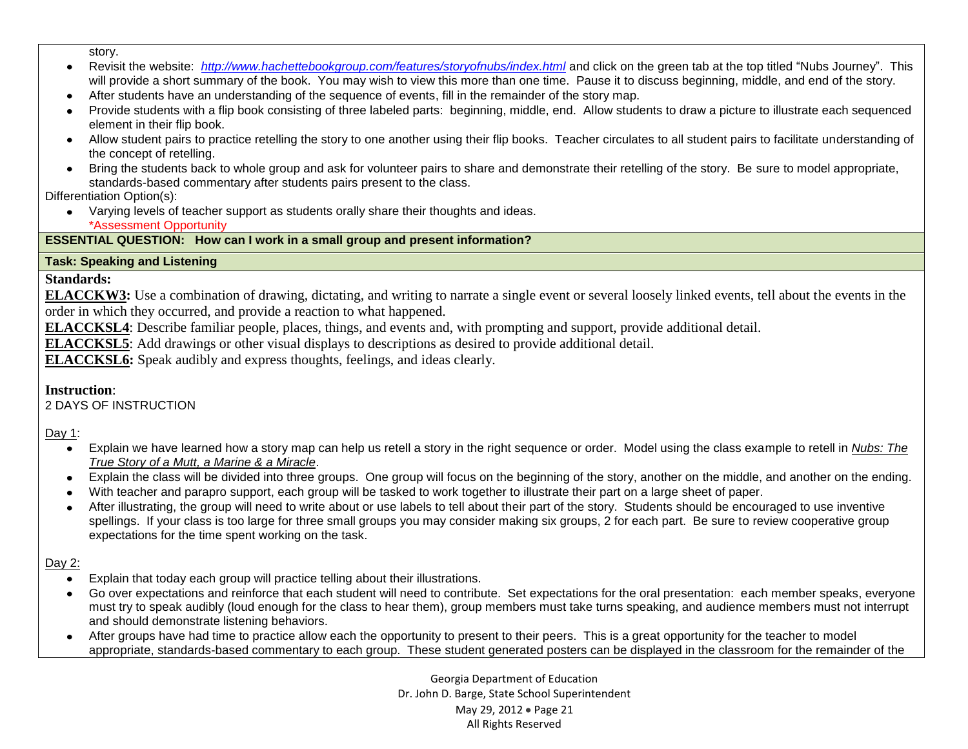story.

- Revisit the website: *<http://www.hachettebookgroup.com/features/storyofnubs/index.html>* and click on the green tab at the top titled "Nubs Journey". This  $\bullet$ will provide a short summary of the book. You may wish to view this more than one time. Pause it to discuss beginning, middle, and end of the story.
- After students have an understanding of the sequence of events, fill in the remainder of the story map.
- Provide students with a flip book consisting of three labeled parts: beginning, middle, end. Allow students to draw a picture to illustrate each sequenced element in their flip book.
- Allow student pairs to practice retelling the story to one another using their flip books. Teacher circulates to all student pairs to facilitate understanding of the concept of retelling.
- Bring the students back to whole group and ask for volunteer pairs to share and demonstrate their retelling of the story. Be sure to model appropriate, standards-based commentary after students pairs present to the class.

Differentiation Option(s):

Varying levels of teacher support as students orally share their thoughts and ideas. \*Assessment Opportunity

## **ESSENTIAL QUESTION: How can I work in a small group and present information?**

## **Task: Speaking and Listening**

## **Standards:**

**ELACCKW3:** Use a combination of drawing, dictating, and writing to narrate a single event or several loosely linked events, tell about the events in the order in which they occurred, and provide a reaction to what happened.

**ELACCKSL4**: Describe familiar people, places, things, and events and, with prompting and support, provide additional detail.

**ELACCKSL5**: Add drawings or other visual displays to descriptions as desired to provide additional detail.

**ELACCKSL6:** Speak audibly and express thoughts, feelings, and ideas clearly.

## **Instruction**:

2 DAYS OF INSTRUCTION

Day 1:

- Explain we have learned how a story map can help us retell a story in the right sequence or order. Model using the class example to retell in *[Nubs: The](http://www.amazon.com/Nubs-True-Story-Marine-Miracle/dp/031605318X/ref=sr_1_177?s=books&ie=UTF8&qid=1329099507&sr=1-177)  [True Story of a Mutt, a Marine & a Miracle](http://www.amazon.com/Nubs-True-Story-Marine-Miracle/dp/031605318X/ref=sr_1_177?s=books&ie=UTF8&qid=1329099507&sr=1-177)*.
- Explain the class will be divided into three groups. One group will focus on the beginning of the story, another on the middle, and another on the ending.
- With teacher and parapro support, each group will be tasked to work together to illustrate their part on a large sheet of paper.
- After illustrating, the group will need to write about or use labels to tell about their part of the story. Students should be encouraged to use inventive spellings. If your class is too large for three small groups you may consider making six groups, 2 for each part. Be sure to review cooperative group expectations for the time spent working on the task.

## Day 2:

- Explain that today each group will practice telling about their illustrations.  $\bullet$
- Go over expectations and reinforce that each student will need to contribute. Set expectations for the oral presentation: each member speaks, everyone must try to speak audibly (loud enough for the class to hear them), group members must take turns speaking, and audience members must not interrupt and should demonstrate listening behaviors.
- After groups have had time to practice allow each the opportunity to present to their peers. This is a great opportunity for the teacher to model appropriate, standards-based commentary to each group. These student generated posters can be displayed in the classroom for the remainder of the

Georgia Department of Education Dr. John D. Barge, State School Superintendent May 29, 2012 • Page 21 All Rights Reserved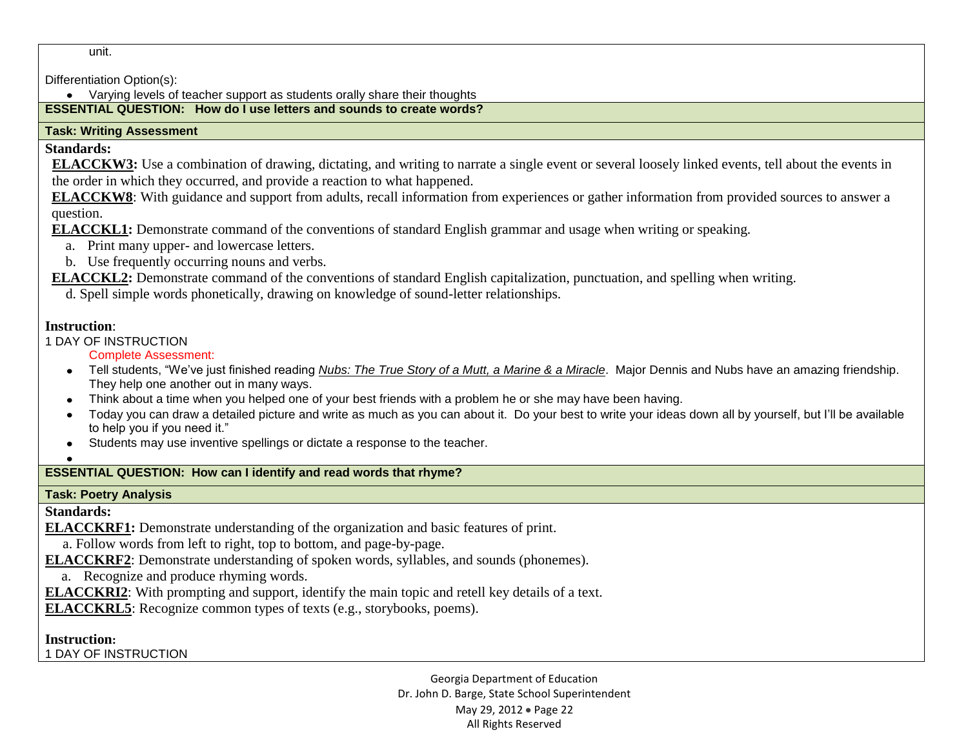unit.

Differentiation Option(s):

Varying levels of teacher support as students orally share their thoughts

### **ESSENTIAL QUESTION: How do I use letters and sounds to create words?**

### **Task: Writing Assessment**

## **Standards:**

**ELACCKW3:** Use a combination of drawing, dictating, and writing to narrate a single event or several loosely linked events, tell about the events in the order in which they occurred, and provide a reaction to what happened.

**ELACCKW8**: With guidance and support from adults, recall information from experiences or gather information from provided sources to answer a question.

**ELACCKL1:** Demonstrate command of the conventions of standard English grammar and usage when writing or speaking.

- a. Print many upper- and lowercase letters.
- b. Use frequently occurring nouns and verbs.

**ELACCKL2:** Demonstrate command of the conventions of standard English capitalization, punctuation, and spelling when writing.

d. Spell simple words phonetically, drawing on knowledge of sound-letter relationships.

## **Instruction**:

1 DAY OF INSTRUCTION

Complete Assessment:

- Tell students, "We've just finished reading *[Nubs: The True Story of a Mutt, a Marine & a Miracle](http://www.amazon.com/Nubs-True-Story-Marine-Miracle/dp/031605318X/ref=sr_1_177?s=books&ie=UTF8&qid=1329099507&sr=1-177)*. Major Dennis and Nubs have an amazing friendship. They help one another out in many ways.
- Think about a time when you helped one of your best friends with a problem he or she may have been having.
- Today you can draw a detailed picture and write as much as you can about it. Do your best to write your ideas down all by yourself, but I'll be available to help you if you need it."
- Students may use inventive spellings or dictate a response to the teacher.

## **ESSENTIAL QUESTION: How can I identify and read words that rhyme?**

## **Task: Poetry Analysis**

**Standards:**

**ELACCKRF1:** Demonstrate understanding of the organization and basic features of print.

a. Follow words from left to right, top to bottom, and page-by-page.

**ELACCKRF2**: Demonstrate understanding of spoken words, syllables, and sounds (phonemes).

a. Recognize and produce rhyming words.

**ELACCKRI2**: With prompting and support, identify the main topic and retell key details of a text.

**ELACCKRL5**: Recognize common types of texts (e.g., storybooks, poems).

**Instruction:**

1 DAY OF INSTRUCTION

Georgia Department of Education Dr. John D. Barge, State School Superintendent May 29, 2012 • Page 22 All Rights Reserved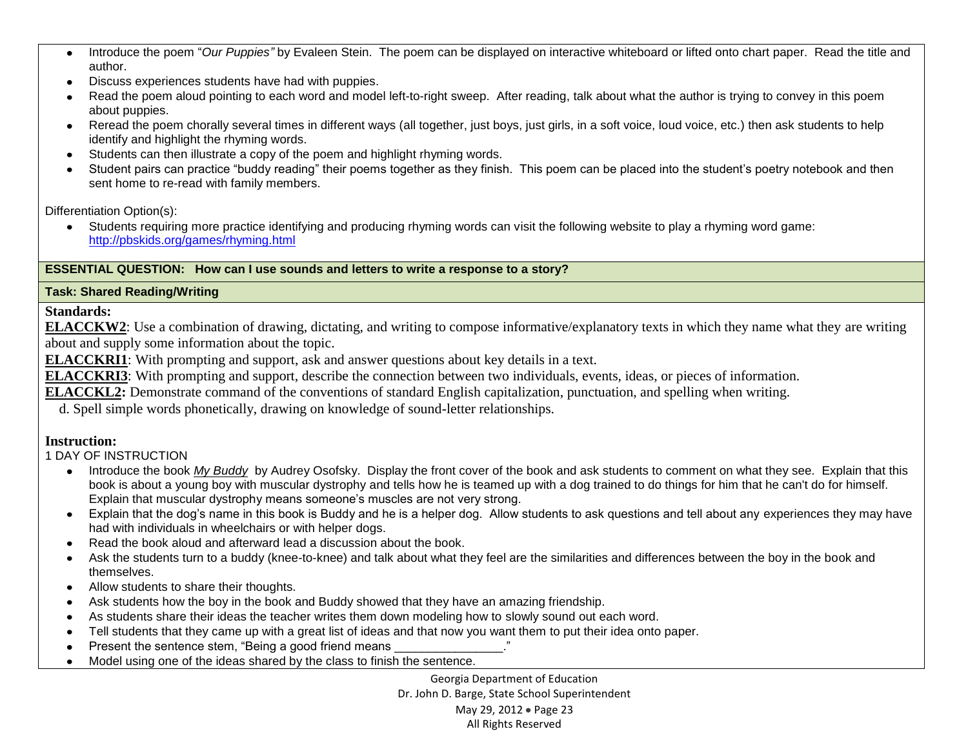- Introduce the poem "*Our Puppies"* by Evaleen Stein. The poem can be displayed on interactive whiteboard or lifted onto chart paper. Read the title and  $\bullet$ author.
- Discuss experiences students have had with puppies.  $\bullet$
- Read the poem aloud pointing to each word and model left-to-right sweep. After reading, talk about what the author is trying to convey in this poem about puppies.
- Reread the poem chorally several times in different ways (all together, just boys, just girls, in a soft voice, loud voice, etc.) then ask students to help identify and highlight the rhyming words.
- Students can then illustrate a copy of the poem and highlight rhyming words.
- Student pairs can practice "buddy reading" their poems together as they finish. This poem can be placed into the student's poetry notebook and then sent home to re-read with family members.

Differentiation Option(s):

Students requiring more practice identifying and producing rhyming words can visit the following website to play a rhyming word game:  $\bullet$ <http://pbskids.org/games/rhyming.html>

## **ESSENTIAL QUESTION: How can I use sounds and letters to write a response to a story?**

## **Task: Shared Reading/Writing**

**Standards:**

**ELACCKW2**: Use a combination of drawing, dictating, and writing to compose informative/explanatory texts in which they name what they are writing about and supply some information about the topic.

**ELACCKRI1**: With prompting and support, ask and answer questions about key details in a text.

**ELACCKRI3**: With prompting and support, describe the connection between two individuals, events, ideas, or pieces of information.

**ELACCKL2:** Demonstrate command of the conventions of standard English capitalization, punctuation, and spelling when writing.

d. Spell simple words phonetically, drawing on knowledge of sound-letter relationships.

## **Instruction:**

1 DAY OF INSTRUCTION

- Introduce the book *My Buddy* by Audrey Osofsky. Display the front cover of the book and ask students to comment on what they see. Explain that this book is about a young boy with muscular dystrophy and tells how he is teamed up with a dog trained to do things for him that he can't do for himself. Explain that muscular dystrophy means someone's muscles are not very strong.
- Explain that the dog's name in this book is Buddy and he is a helper dog. Allow students to ask questions and tell about any experiences they may have had with individuals in wheelchairs or with helper dogs.
- Read the book aloud and afterward lead a discussion about the book.
- Ask the students turn to a buddy (knee-to-knee) and talk about what they feel are the similarities and differences between the boy in the book and themselves.
- Allow students to share their thoughts.
- Ask students how the boy in the book and Buddy showed that they have an amazing friendship.
- As students share their ideas the teacher writes them down modeling how to slowly sound out each word.
- Tell students that they came up with a great list of ideas and that now you want them to put their idea onto paper.
- Present the sentence stem, "Being a good friend means  $\bullet$
- Model using one of the ideas shared by the class to finish the sentence.  $\bullet$

Georgia Department of Education Dr. John D. Barge, State School Superintendent May 29, 2012 • Page 23 All Rights Reserved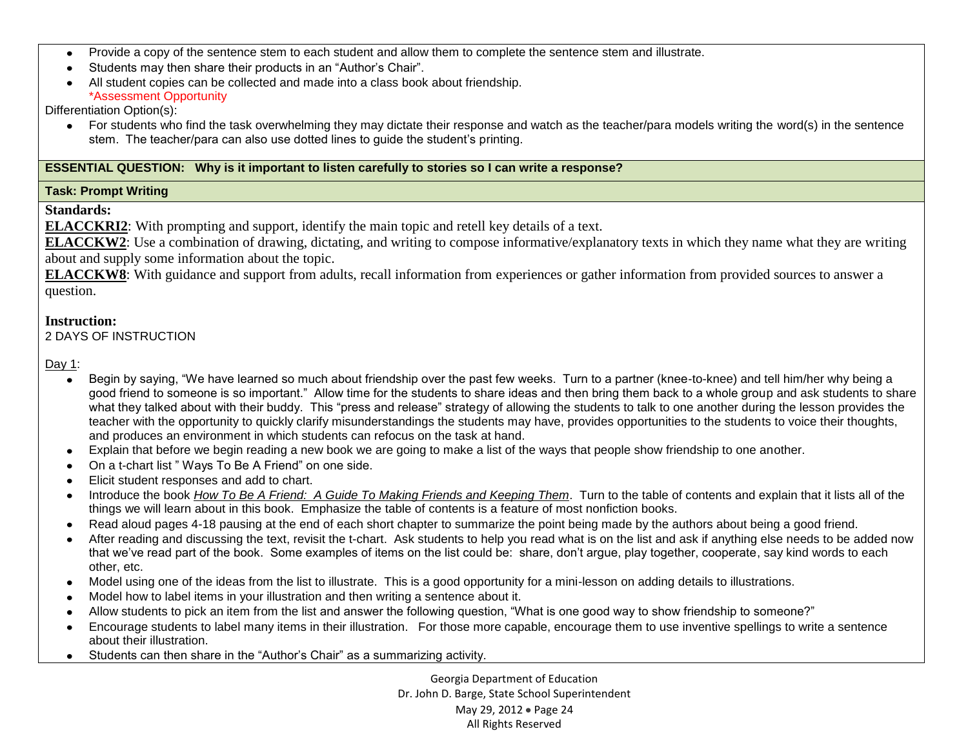- Provide a copy of the sentence stem to each student and allow them to complete the sentence stem and illustrate.
- Students may then share their products in an "Author's Chair".
- All student copies can be collected and made into a class book about friendship. \*Assessment Opportunity

Differentiation Option(s):

For students who find the task overwhelming they may dictate their response and watch as the teacher/para models writing the word(s) in the sentence stem. The teacher/para can also use dotted lines to guide the student's printing.

#### **ESSENTIAL QUESTION: Why is it important to listen carefully to stories so I can write a response?**

### **Task: Prompt Writing**

### **Standards:**

**ELACCKRI2**: With prompting and support, identify the main topic and retell key details of a text.

**ELACCKW2**: Use a combination of drawing, dictating, and writing to compose informative/explanatory texts in which they name what they are writing about and supply some information about the topic.

**ELACCKW8**: With guidance and support from adults, recall information from experiences or gather information from provided sources to answer a question.

### **Instruction:**

2 DAYS OF INSTRUCTION

Day 1:

- Begin by saying, "We have learned so much about friendship over the past few weeks. Turn to a partner (knee-to-knee) and tell him/her why being a  $\bullet$ good friend to someone is so important." Allow time for the students to share ideas and then bring them back to a whole group and ask students to share what they talked about with their buddy. This "press and release" strategy of allowing the students to talk to one another during the lesson provides the teacher with the opportunity to quickly clarify misunderstandings the students may have, provides opportunities to the students to voice their thoughts, and produces an environment in which students can refocus on the task at hand.
- Explain that before we begin reading a new book we are going to make a list of the ways that people show friendship to one another.
- On a t-chart list " Ways To Be A Friend" on one side.
- Elicit student responses and add to chart.  $\bullet$
- Introduce the book *How To Be A Friend: A Guide To Making Friends and Keeping Them*. Turn to the table of contents and explain that it lists all of the  $\bullet$ things we will learn about in this book. Emphasize the table of contents is a feature of most nonfiction books.
- Read aloud pages 4-18 pausing at the end of each short chapter to summarize the point being made by the authors about being a good friend.  $\bullet$
- After reading and discussing the text, revisit the t-chart. Ask students to help you read what is on the list and ask if anything else needs to be added now that we've read part of the book. Some examples of items on the list could be: share, don't argue, play together, cooperate, say kind words to each other, etc.
- Model using one of the ideas from the list to illustrate. This is a good opportunity for a mini-lesson on adding details to illustrations.  $\bullet$
- Model how to label items in your illustration and then writing a sentence about it.
- Allow students to pick an item from the list and answer the following question, "What is one good way to show friendship to someone?"  $\bullet$
- Encourage students to label many items in their illustration. For those more capable, encourage them to use inventive spellings to write a sentence  $\bullet$ about their illustration.
- Students can then share in the "Author's Chair" as a summarizing activity.

Georgia Department of Education Dr. John D. Barge, State School Superintendent May 29, 2012 • Page 24 All Rights Reserved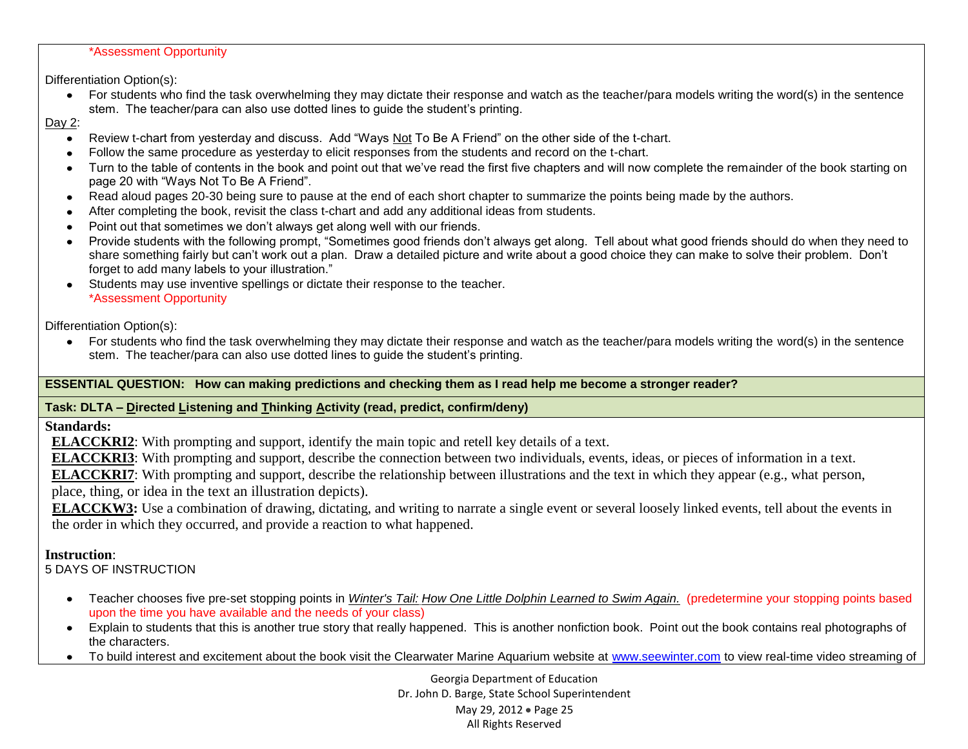#### \*Assessment Opportunity

Differentiation Option(s):

For students who find the task overwhelming they may dictate their response and watch as the teacher/para models writing the word(s) in the sentence stem. The teacher/para can also use dotted lines to guide the student's printing.

#### Day 2:

- Review t-chart from yesterday and discuss. Add "Ways Not To Be A Friend" on the other side of the t-chart.  $\bullet$
- Follow the same procedure as yesterday to elicit responses from the students and record on the t-chart.
- Turn to the table of contents in the book and point out that we've read the first five chapters and will now complete the remainder of the book starting on page 20 with "Ways Not To Be A Friend".
- Read aloud pages 20-30 being sure to pause at the end of each short chapter to summarize the points being made by the authors.
- After completing the book, revisit the class t-chart and add any additional ideas from students.
- Point out that sometimes we don't always get along well with our friends.  $\bullet$
- Provide students with the following prompt, "Sometimes good friends don't always get along. Tell about what good friends should do when they need to share something fairly but can't work out a plan. Draw a detailed picture and write about a good choice they can make to solve their problem. Don't forget to add many labels to your illustration."
- Students may use inventive spellings or dictate their response to the teacher. \*Assessment Opportunity

Differentiation Option(s):

For students who find the task overwhelming they may dictate their response and watch as the teacher/para models writing the word(s) in the sentence  $\bullet$ stem. The teacher/para can also use dotted lines to guide the student's printing.

## **ESSENTIAL QUESTION: How can making predictions and checking them as I read help me become a stronger reader?**

## **Task: DLTA – Directed Listening and Thinking Activity (read, predict, confirm/deny)**

**Standards:**

**ELACCKRI2**: With prompting and support, identify the main topic and retell key details of a text.

**ELACCKRI3**: With prompting and support, describe the connection between two individuals, events, ideas, or pieces of information in a text.

**ELACCKRI7**: With prompting and support, describe the relationship between illustrations and the text in which they appear (e.g., what person, place, thing, or idea in the text an illustration depicts).

**ELACCKW3:** Use a combination of drawing, dictating, and writing to narrate a single event or several loosely linked events, tell about the events in the order in which they occurred, and provide a reaction to what happened.

## **Instruction**:

5 DAYS OF INSTRUCTION

- Teacher chooses five pre-set stopping points in *Winter's Tail: How One Little Dolphin Learned to Swim Again.* (predetermine your stopping points based upon the time you have available and the needs of your class)
- Explain to students that this is another true story that really happened. This is another nonfiction book. Point out the book contains real photographs of the characters.
- To build interest and excitement about the book visit the Clearwater Marine Aquarium website at [www.seewinter.com](http://www.seewinter.com/) to view real-time video streaming of

Georgia Department of Education Dr. John D. Barge, State School Superintendent May 29, 2012 • Page 25 All Rights Reserved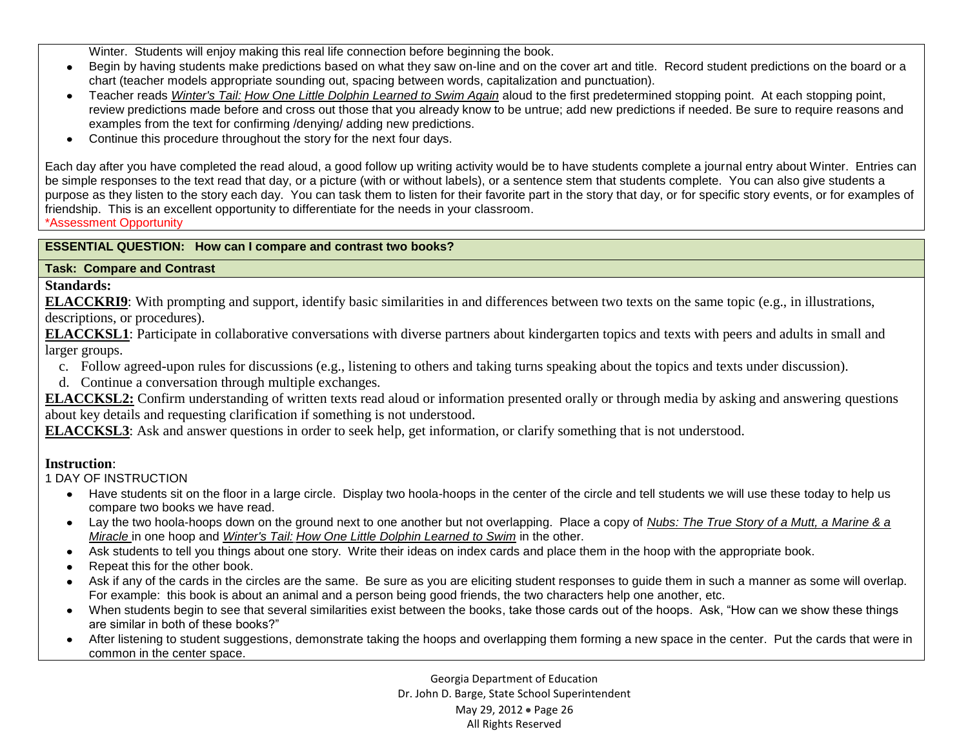Winter. Students will enjoy making this real life connection before beginning the book.

- Begin by having students make predictions based on what they saw on-line and on the cover art and title. Record student predictions on the board or a  $\bullet$ chart (teacher models appropriate sounding out, spacing between words, capitalization and punctuation).
- Teacher reads *Winter's Tail: How One Little Dolphin Learned to Swim Again* aloud to the first predetermined stopping point. At each stopping point, review predictions made before and cross out those that you already know to be untrue; add new predictions if needed. Be sure to require reasons and examples from the text for confirming /denying/ adding new predictions.
- Continue this procedure throughout the story for the next four days.  $\bullet$

Each day after you have completed the read aloud, a good follow up writing activity would be to have students complete a journal entry about Winter. Entries can be simple responses to the text read that day, or a picture (with or without labels), or a sentence stem that students complete. You can also give students a purpose as they listen to the story each day. You can task them to listen for their favorite part in the story that day, or for specific story events, or for examples of friendship. This is an excellent opportunity to differentiate for the needs in your classroom.

\*Assessment Opportunity

## **ESSENTIAL QUESTION: How can I compare and contrast two books?**

### **Task: Compare and Contrast**

## **Standards:**

**ELACCKRI9**: With prompting and support, identify basic similarities in and differences between two texts on the same topic (e.g., in illustrations, descriptions, or procedures).

**ELACCKSL1**: Participate in collaborative conversations with diverse partners about kindergarten topics and texts with peers and adults in small and larger groups.

- c. Follow agreed-upon rules for discussions (e.g., listening to others and taking turns speaking about the topics and texts under discussion).
- d. Continue a conversation through multiple exchanges.

**ELACCKSL2:** Confirm understanding of written texts read aloud or information presented orally or through media by asking and answering questions about key details and requesting clarification if something is not understood.

**ELACCKSL3**: Ask and answer questions in order to seek help, get information, or clarify something that is not understood.

## **Instruction**:

## 1 DAY OF INSTRUCTION

- Have students sit on the floor in a large circle. Display two hoola-hoops in the center of the circle and tell students we will use these today to help us compare two books we have read.
- Lay the two hoola-hoops down on the ground next to one another but not overlapping. Place a copy of *[Nubs: The True Story of a Mutt, a Marine & a](http://www.amazon.com/Nubs-True-Story-Marine-Miracle/dp/031605318X/ref=sr_1_177?s=books&ie=UTF8&qid=1329099507&sr=1-177)  [Miracle](http://www.amazon.com/Nubs-True-Story-Marine-Miracle/dp/031605318X/ref=sr_1_177?s=books&ie=UTF8&qid=1329099507&sr=1-177)* in one hoop and *Winter's Tail: How One Little Dolphin Learned to Swim* in the other.
- Ask students to tell you things about one story. Write their ideas on index cards and place them in the hoop with the appropriate book.
- Repeat this for the other book.  $\bullet$
- Ask if any of the cards in the circles are the same. Be sure as you are eliciting student responses to guide them in such a manner as some will overlap. For example: this book is about an animal and a person being good friends, the two characters help one another, etc.
- When students begin to see that several similarities exist between the books, take those cards out of the hoops. Ask, "How can we show these things are similar in both of these books?"
- After listening to student suggestions, demonstrate taking the hoops and overlapping them forming a new space in the center. Put the cards that were in common in the center space.

Georgia Department of Education Dr. John D. Barge, State School Superintendent May 29, 2012 • Page 26 All Rights Reserved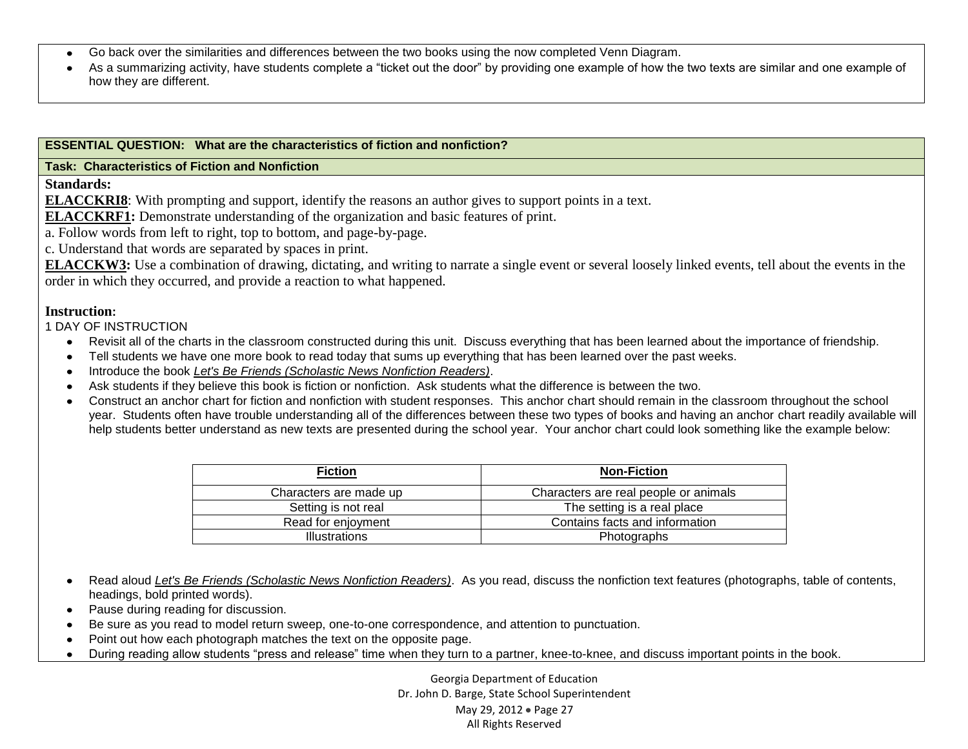- Go back over the similarities and differences between the two books using the now completed Venn Diagram.
- As a summarizing activity, have students complete a "ticket out the door" by providing one example of how the two texts are similar and one example of how they are different.

#### **ESSENTIAL QUESTION: What are the characteristics of fiction and nonfiction?**

#### **Task: Characteristics of Fiction and Nonfiction**

**Standards:**

**ELACCKRI8**: With prompting and support, identify the reasons an author gives to support points in a text.

**ELACCKRF1:** Demonstrate understanding of the organization and basic features of print.

a. Follow words from left to right, top to bottom, and page-by-page.

c. Understand that words are separated by spaces in print.

**ELACCKW3:** Use a combination of drawing, dictating, and writing to narrate a single event or several loosely linked events, tell about the events in the order in which they occurred, and provide a reaction to what happened.

#### **Instruction:**

1 DAY OF INSTRUCTION

- Revisit all of the charts in the classroom constructed during this unit. Discuss everything that has been learned about the importance of friendship.
- Tell students we have one more book to read today that sums up everything that has been learned over the past weeks.
- Introduce the book *Let's Be Friends (Scholastic News Nonfiction Readers)*.
- Ask students if they believe this book is fiction or nonfiction. Ask students what the difference is between the two.
- Construct an anchor chart for fiction and nonfiction with student responses. This anchor chart should remain in the classroom throughout the school year. Students often have trouble understanding all of the differences between these two types of books and having an anchor chart readily available will help students better understand as new texts are presented during the school year. Your anchor chart could look something like the example below:

| <b>Fiction</b>         | <b>Non-Fiction</b>                    |
|------------------------|---------------------------------------|
| Characters are made up | Characters are real people or animals |
| Setting is not real    | The setting is a real place           |
| Read for enjoyment     | Contains facts and information        |
| <b>Illustrations</b>   | Photographs                           |

- Read aloud *Let's Be Friends (Scholastic News Nonfiction Readers)*. As you read, discuss the nonfiction text features (photographs, table of contents, headings, bold printed words).
- Pause during reading for discussion.  $\bullet$
- Be sure as you read to model return sweep, one-to-one correspondence, and attention to punctuation.  $\bullet$
- Point out how each photograph matches the text on the opposite page.  $\bullet$
- During reading allow students "press and release" time when they turn to a partner, knee-to-knee, and discuss important points in the book. $\bullet$

Georgia Department of Education Dr. John D. Barge, State School Superintendent May 29, 2012 . Page 27 All Rights Reserved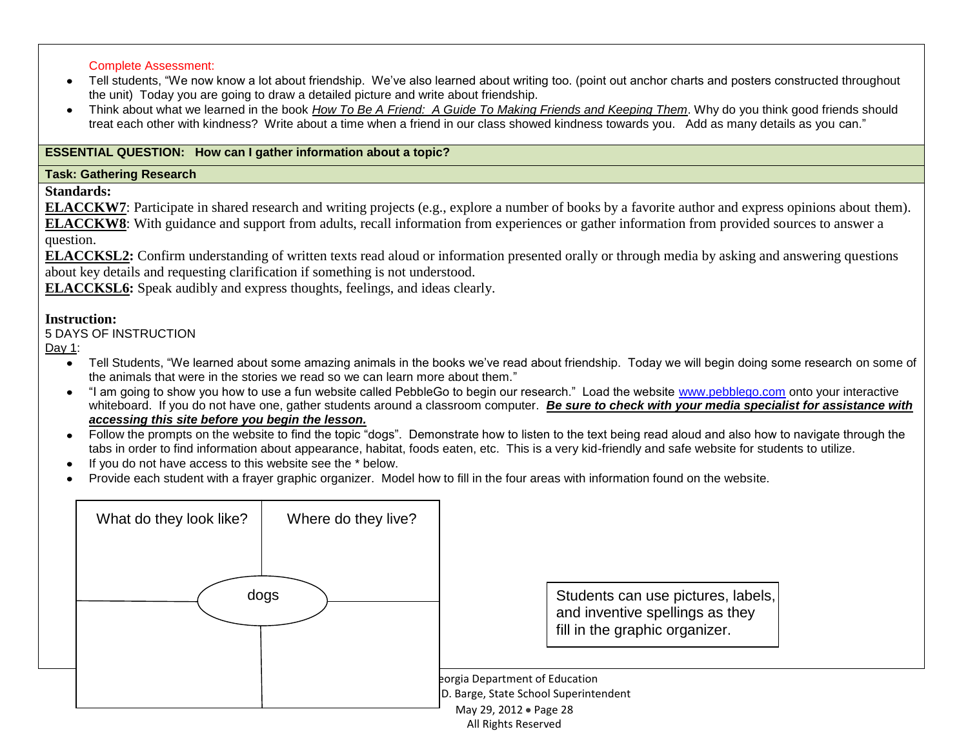#### Complete Assessment:

- Tell students, "We now know a lot about friendship. We've also learned about writing too. (point out anchor charts and posters constructed throughout the unit) Today you are going to draw a detailed picture and write about friendship.
- Think about what we learned in the book *How To Be A Friend: A Guide To Making Friends and Keeping Them*. Why do you think good friends should treat each other with kindness? Write about a time when a friend in our class showed kindness towards you. Add as many details as you can."

### **ESSENTIAL QUESTION: How can I gather information about a topic?**

#### **Task: Gathering Research**

**Standards:**

**ELACCKW7**: Participate in shared research and writing projects (e.g., explore a number of books by a favorite author and express opinions about them). **ELACCKW8**: With guidance and support from adults, recall information from experiences or gather information from provided sources to answer a question.

**ELACCKSL2:** Confirm understanding of written texts read aloud or information presented orally or through media by asking and answering questions about key details and requesting clarification if something is not understood.

**ELACCKSL6:** Speak audibly and express thoughts, feelings, and ideas clearly.

#### **Instruction:**

#### 5 DAYS OF INSTRUCTION

Day 1:

- Tell Students, "We learned about some amazing animals in the books we've read about friendship. Today we will begin doing some research on some of the animals that were in the stories we read so we can learn more about them."
- "I am going to show you how to use a fun website called PebbleGo to begin our research." Load the website [www.pebblego.com](http://www.pebblego.com/) onto your interactive whiteboard. If you do not have one, gather students around a classroom computer. Be sure to check with your media specialist for assistance with *accessing this site before you begin the lesson.*
- Follow the prompts on the website to find the topic "dogs". Demonstrate how to listen to the text being read aloud and also how to navigate through the  $\bullet$ tabs in order to find information about appearance, habitat, foods eaten, etc. This is a very kid-friendly and safe website for students to utilize.
- If you do not have access to this website see the \* below.  $\bullet$
- Provide each student with a frayer graphic organizer. Model how to fill in the four areas with information found on the website.